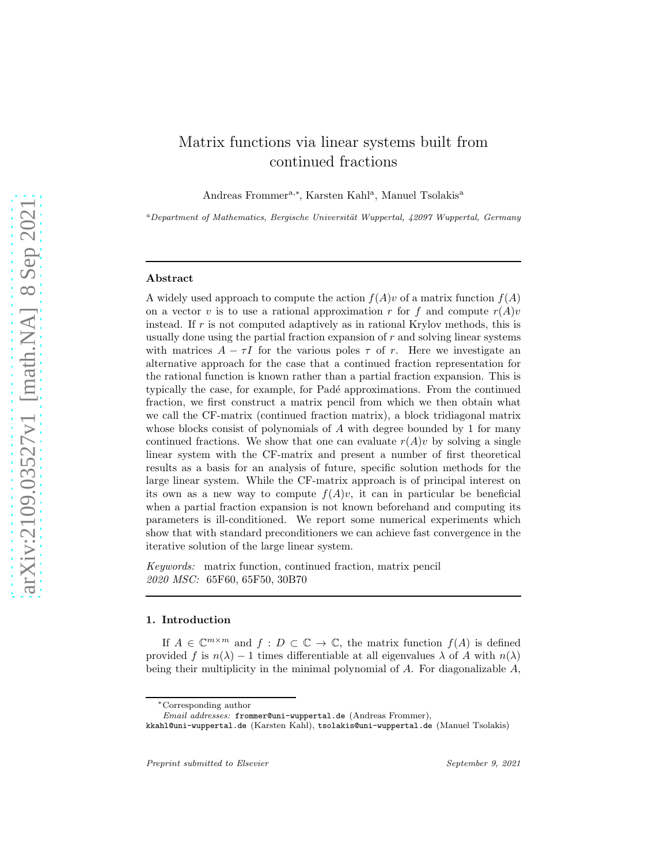# Matrix functions via linear systems built from continued fractions

Andreas Frommer<sup>a,\*</sup>, Karsten Kahl<sup>a</sup>, Manuel Tsolakis<sup>a</sup>

 $a$ Department of Mathematics, Bergische Universität Wuppertal, 42097 Wuppertal, Germany

#### Abstract

A widely used approach to compute the action  $f(A)v$  of a matrix function  $f(A)$ on a vector v is to use a rational approximation r for f and compute  $r(A)v$ instead. If  $r$  is not computed adaptively as in rational Krylov methods, this is usually done using the partial fraction expansion of  $r$  and solving linear systems with matrices  $A - \tau I$  for the various poles  $\tau$  of r. Here we investigate an alternative approach for the case that a continued fraction representation for the rational function is known rather than a partial fraction expansion. This is typically the case, for example, for Padé approximations. From the continued fraction, we first construct a matrix pencil from which we then obtain what we call the CF-matrix (continued fraction matrix), a block tridiagonal matrix whose blocks consist of polynomials of A with degree bounded by 1 for many continued fractions. We show that one can evaluate  $r(A)v$  by solving a single linear system with the CF-matrix and present a number of first theoretical results as a basis for an analysis of future, specific solution methods for the large linear system. While the CF-matrix approach is of principal interest on its own as a new way to compute  $f(A)v$ , it can in particular be beneficial when a partial fraction expansion is not known beforehand and computing its parameters is ill-conditioned. We report some numerical experiments which show that with standard preconditioners we can achieve fast convergence in the iterative solution of the large linear system.

*Keywords:* matrix function, continued fraction, matrix pencil *2020 MSC:* 65F60, 65F50, 30B70

#### 1. Introduction

If  $A \in \mathbb{C}^{m \times m}$  and  $f : D \subset \mathbb{C} \to \mathbb{C}$ , the matrix function  $f(A)$  is defined provided f is  $n(\lambda) - 1$  times differentiable at all eigenvalues  $\lambda$  of A with  $n(\lambda)$ being their multiplicity in the minimal polynomial of  $A$ . For diagonalizable  $A$ ,

<sup>∗</sup>Corresponding author

Email addresses: frommer@uni-wuppertal.de (Andreas Frommer),

kkahl@uni-wuppertal.de (Karsten Kahl), tsolakis@uni-wuppertal.de (Manuel Tsolakis)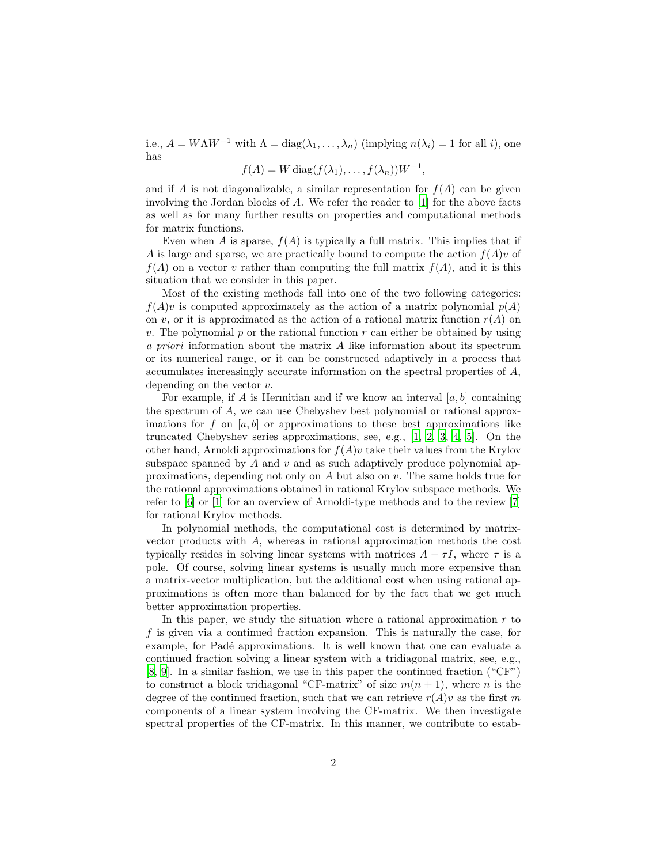i.e.,  $A = W\Lambda W^{-1}$  with  $\Lambda = \text{diag}(\lambda_1, \ldots, \lambda_n)$  (implying  $n(\lambda_i) = 1$  for all i), one has

$$
f(A) = W \operatorname{diag}(f(\lambda_1), \dots, f(\lambda_n))W^{-1},
$$

and if A is not diagonalizable, a similar representation for  $f(A)$  can be given involving the Jordan blocks of A. We refer the reader to [\[1\]](#page-24-0) for the above facts as well as for many further results on properties and computational methods for matrix functions.

Even when A is sparse,  $f(A)$  is typically a full matrix. This implies that if A is large and sparse, we are practically bound to compute the action  $f(A)v$  of  $f(A)$  on a vector v rather than computing the full matrix  $f(A)$ , and it is this situation that we consider in this paper.

Most of the existing methods fall into one of the two following categories:  $f(A)v$  is computed approximately as the action of a matrix polynomial  $p(A)$ on v, or it is approximated as the action of a rational matrix function  $r(A)$  on v. The polynomial p or the rational function  $r$  can either be obtained by using *a priori* information about the matrix A like information about its spectrum or its numerical range, or it can be constructed adaptively in a process that accumulates increasingly accurate information on the spectral properties of A, depending on the vector v.

For example, if A is Hermitian and if we know an interval  $[a, b]$  containing the spectrum of A, we can use Chebyshev best polynomial or rational approximations for f on  $[a, b]$  or approximations to these best approximations like truncated Chebyshev series approximations, see, e.g., [\[1](#page-24-0), [2](#page-24-1), [3](#page-24-2), [4,](#page-24-3) [5\]](#page-24-4). On the other hand, Arnoldi approximations for  $f(A)v$  take their values from the Krylov subspace spanned by  $A$  and  $v$  and as such adaptively produce polynomial approximations, depending not only on  $A$  but also on  $v$ . The same holds true for the rational approximations obtained in rational Krylov subspace methods. We refer to [\[6\]](#page-24-5) or [\[1](#page-24-0)] for an overview of Arnoldi-type methods and to the review [\[7\]](#page-24-6) for rational Krylov methods.

In polynomial methods, the computational cost is determined by matrixvector products with A, whereas in rational approximation methods the cost typically resides in solving linear systems with matrices  $A - \tau I$ , where  $\tau$  is a pole. Of course, solving linear systems is usually much more expensive than a matrix-vector multiplication, but the additional cost when using rational approximations is often more than balanced for by the fact that we get much better approximation properties.

In this paper, we study the situation where a rational approximation  $r$  to f is given via a continued fraction expansion. This is naturally the case, for example, for Padé approximations. It is well known that one can evaluate a continued fraction solving a linear system with a tridiagonal matrix, see, e.g., [\[8,](#page-24-7) [9\]](#page-24-8). In a similar fashion, we use in this paper the continued fraction ("CF") to construct a block tridiagonal "CF-matrix" of size  $m(n + 1)$ , where *n* is the degree of the continued fraction, such that we can retrieve  $r(A)v$  as the first m components of a linear system involving the CF-matrix. We then investigate spectral properties of the CF-matrix. In this manner, we contribute to estab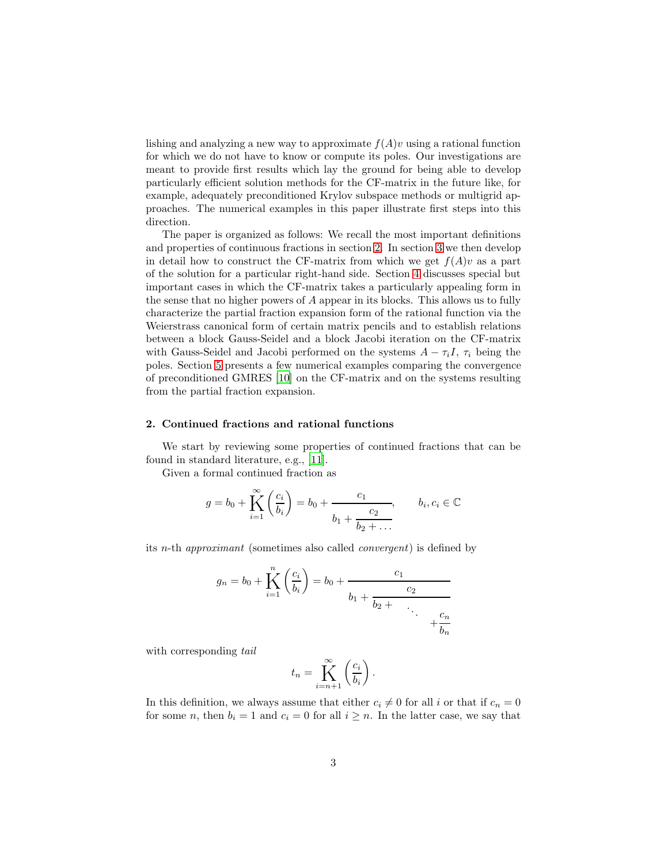lishing and analyzing a new way to approximate  $f(A)v$  using a rational function for which we do not have to know or compute its poles. Our investigations are meant to provide first results which lay the ground for being able to develop particularly efficient solution methods for the CF-matrix in the future like, for example, adequately preconditioned Krylov subspace methods or multigrid approaches. The numerical examples in this paper illustrate first steps into this direction.

The paper is organized as follows: We recall the most important definitions and properties of continuous fractions in section [2.](#page-2-0) In section [3](#page-5-0) we then develop in detail how to construct the CF-matrix from which we get  $f(A)v$  as a part of the solution for a particular right-hand side. Section [4](#page-10-0) discusses special but important cases in which the CF-matrix takes a particularly appealing form in the sense that no higher powers of A appear in its blocks. This allows us to fully characterize the partial fraction expansion form of the rational function via the Weierstrass canonical form of certain matrix pencils and to establish relations between a block Gauss-Seidel and a block Jacobi iteration on the CF-matrix with Gauss-Seidel and Jacobi performed on the systems  $A - \tau_i I$ ,  $\tau_i$  being the poles. Section [5](#page-20-0) presents a few numerical examples comparing the convergence of preconditioned GMRES [\[10\]](#page-24-9) on the CF-matrix and on the systems resulting from the partial fraction expansion.

## <span id="page-2-0"></span>2. Continued fractions and rational functions

We start by reviewing some properties of continued fractions that can be found in standard literature, e.g., [\[11](#page-24-10)].

Given a formal continued fraction as

$$
g = b_0 + \prod_{i=1}^{\infty} \left(\frac{c_i}{b_i}\right) = b_0 + \frac{c_1}{b_1 + \frac{c_2}{b_2 + \dots}}, \quad b_i, c_i \in \mathbb{C}
$$

its n-th *approximant* (sometimes also called *convergent*) is defined by

$$
g_n = b_0 + \prod_{i=1}^n \left(\frac{c_i}{b_i}\right) = b_0 + \frac{c_1}{b_1 + \frac{c_2}{b_2 + \dots + \frac{c_n}{b_n}}}
$$

with corresponding *tail*

$$
t_n = \prod_{i=n+1}^{\infty} \left( \frac{c_i}{b_i} \right).
$$

In this definition, we always assume that either  $c_i \neq 0$  for all i or that if  $c_n = 0$ for some n, then  $b_i = 1$  and  $c_i = 0$  for all  $i \geq n$ . In the latter case, we say that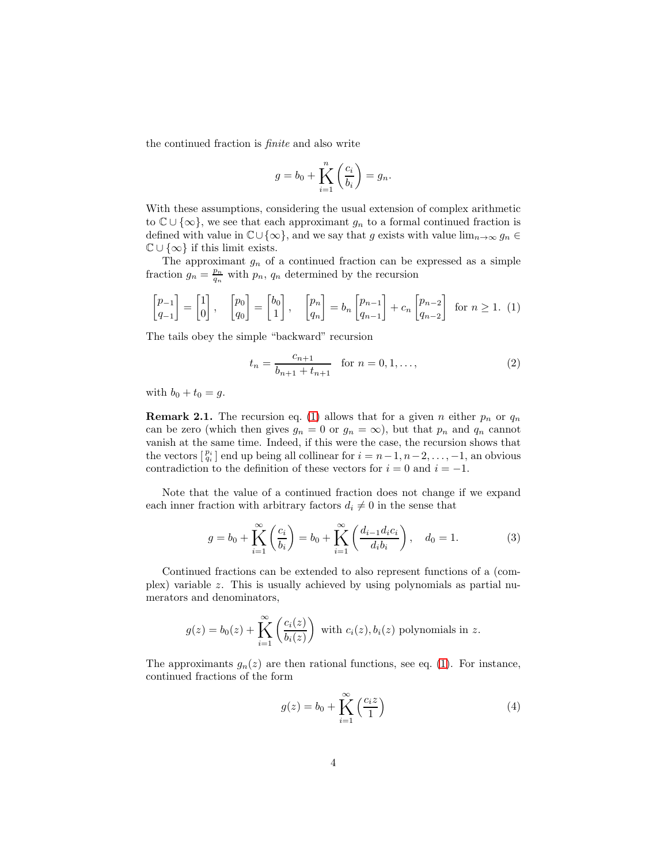the continued fraction is *finite* and also write

<span id="page-3-0"></span>
$$
g = b_0 + \bigwedge_{i=1}^n \left(\frac{c_i}{b_i}\right) = g_n.
$$

With these assumptions, considering the usual extension of complex arithmetic to  $\mathbb{C} \cup \{\infty\}$ , we see that each approximant  $g_n$  to a formal continued fraction is defined with value in  $\mathbb{C}\cup\{\infty\}$ , and we say that g exists with value  $\lim_{n\to\infty} g_n \in$  $\mathbb{C} \cup \{\infty\}$  if this limit exists.

The approximant  $g_n$  of a continued fraction can be expressed as a simple fraction  $g_n = \frac{p_n}{q_n}$  with  $p_n$ ,  $q_n$  determined by the recursion

$$
\begin{bmatrix} p_{-1} \\ q_{-1} \end{bmatrix} = \begin{bmatrix} 1 \\ 0 \end{bmatrix}, \quad \begin{bmatrix} p_0 \\ q_0 \end{bmatrix} = \begin{bmatrix} b_0 \\ 1 \end{bmatrix}, \quad \begin{bmatrix} p_n \\ q_n \end{bmatrix} = b_n \begin{bmatrix} p_{n-1} \\ q_{n-1} \end{bmatrix} + c_n \begin{bmatrix} p_{n-2} \\ q_{n-2} \end{bmatrix} \text{ for } n \ge 1. \tag{1}
$$

The tails obey the simple "backward" recursion

<span id="page-3-3"></span>
$$
t_n = \frac{c_{n+1}}{b_{n+1} + t_{n+1}} \quad \text{for } n = 0, 1, \dots,
$$
 (2)

<span id="page-3-1"></span>with  $b_0 + t_0 = g$ .

**Remark 2.1.** The recursion eq. [\(1\)](#page-3-0) allows that for a given n either  $p_n$  or  $q_n$ can be zero (which then gives  $g_n = 0$  or  $g_n = \infty$ ), but that  $p_n$  and  $q_n$  cannot vanish at the same time. Indeed, if this were the case, the recursion shows that the vectors  $\begin{bmatrix} p_i \\ q_i \end{bmatrix}$  end up being all collinear for  $i = n-1, n-2, \ldots, -1$ , an obvious contradiction to the definition of these vectors for  $i = 0$  and  $i = -1$ .

Note that the value of a continued fraction does not change if we expand each inner fraction with arbitrary factors  $d_i \neq 0$  in the sense that

<span id="page-3-2"></span>
$$
g = b_0 + \prod_{i=1}^{\infty} \left( \frac{c_i}{b_i} \right) = b_0 + \prod_{i=1}^{\infty} \left( \frac{d_{i-1} d_i c_i}{d_i b_i} \right), \quad d_0 = 1.
$$
 (3)

Continued fractions can be extended to also represent functions of a (complex) variable z. This is usually achieved by using polynomials as partial numerators and denominators,

$$
g(z) = b_0(z) + \prod_{i=1}^{\infty} \left( \frac{c_i(z)}{b_i(z)} \right)
$$
 with  $c_i(z), b_i(z)$  polynomials in z.

The approximants  $g_n(z)$  are then rational functions, see eq. [\(1\)](#page-3-0). For instance, continued fractions of the form

$$
g(z) = b_0 + \prod_{i=1}^{\infty} \left(\frac{c_i z}{1}\right)
$$
 (4)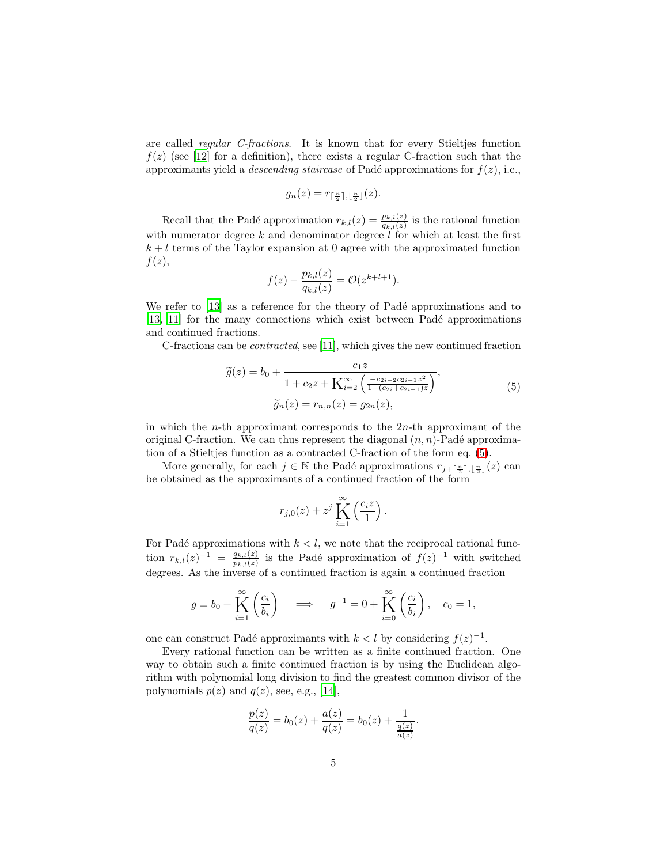are called *regular C-fractions*. It is known that for every Stieltjes function  $f(z)$  (see [\[12\]](#page-25-0) for a definition), there exists a regular C-fraction such that the approximants yield a *descending staircase* of Padé approximations for  $f(z)$ , i.e.,

$$
g_n(z) = r_{\lceil \frac{n}{2} \rceil, \lfloor \frac{n}{2} \rfloor}(z).
$$

Recall that the Padé approximation  $r_{k,l}(z) = \frac{p_{k,l}(z)}{q_{k,l}(z)}$  is the rational function with numerator degree k and denominator degree  $\ell$  for which at least the first  $k + l$  terms of the Taylor expansion at 0 agree with the approximated function  $f(z)$ ,

<span id="page-4-0"></span>
$$
f(z) - \frac{p_{k,l}(z)}{q_{k,l}(z)} = \mathcal{O}(z^{k+l+1}).
$$

We refer to [\[13](#page-25-1)] as a reference for the theory of Padé approximations and to [\[13,](#page-25-1) [11\]](#page-24-10) for the many connections which exist between Padé approximations and continued fractions.

C-fractions can be *contracted*, see [\[11\]](#page-24-10), which gives the new continued fraction

$$
\widetilde{g}(z) = b_0 + \frac{c_1 z}{1 + c_2 z + \mathbf{K}_{i=2}^{\infty} \left( \frac{-c_{2i-2} c_{2i-1} z^2}{1 + (c_{2i} + c_{2i-1}) z} \right)},
$$
\n
$$
\widetilde{g}_n(z) = r_{n,n}(z) = g_{2n}(z),
$$
\n(5)

in which the *n*-th approximant corresponds to the  $2n$ -th approximant of the original C-fraction. We can thus represent the diagonal  $(n, n)$ -Padé approximation of a Stieltjes function as a contracted C-fraction of the form eq. [\(5\)](#page-4-0).

More generally, for each  $j \in \mathbb{N}$  the Padé approximations  $r_{j+\lceil \frac{n}{2} \rceil, \lfloor \frac{n}{2} \rfloor}(z)$  can be obtained as the approximants of a continued fraction of the form

$$
r_{j,0}(z) + z^j \prod_{i=1}^{\infty} \left(\frac{c_i z}{1}\right).
$$

For Padé approximations with  $k < l$ , we note that the reciprocal rational function  $r_{k,l}(z)^{-1} = \frac{q_{k,l}(z)}{p_{k,l}(z)}$  $\frac{q_{k,l}(z)}{p_{k,l}(z)}$  is the Padé approximation of  $f(z)^{-1}$  with switched degrees. As the inverse of a continued fraction is again a continued fraction

$$
g = b_0 + \prod_{i=1}^{\infty} \left( \frac{c_i}{b_i} \right) \quad \Longrightarrow \quad g^{-1} = 0 + \prod_{i=0}^{\infty} \left( \frac{c_i}{b_i} \right), \quad c_0 = 1,
$$

one can construct Padé approximants with  $k < l$  by considering  $f(z)^{-1}$ .

Every rational function can be written as a finite continued fraction. One way to obtain such a finite continued fraction is by using the Euclidean algorithm with polynomial long division to find the greatest common divisor of the polynomials  $p(z)$  and  $q(z)$ , see, e.g., [\[14\]](#page-25-2),

$$
\frac{p(z)}{q(z)} = b_0(z) + \frac{a(z)}{q(z)} = b_0(z) + \frac{1}{\frac{q(z)}{a(z)}}.
$$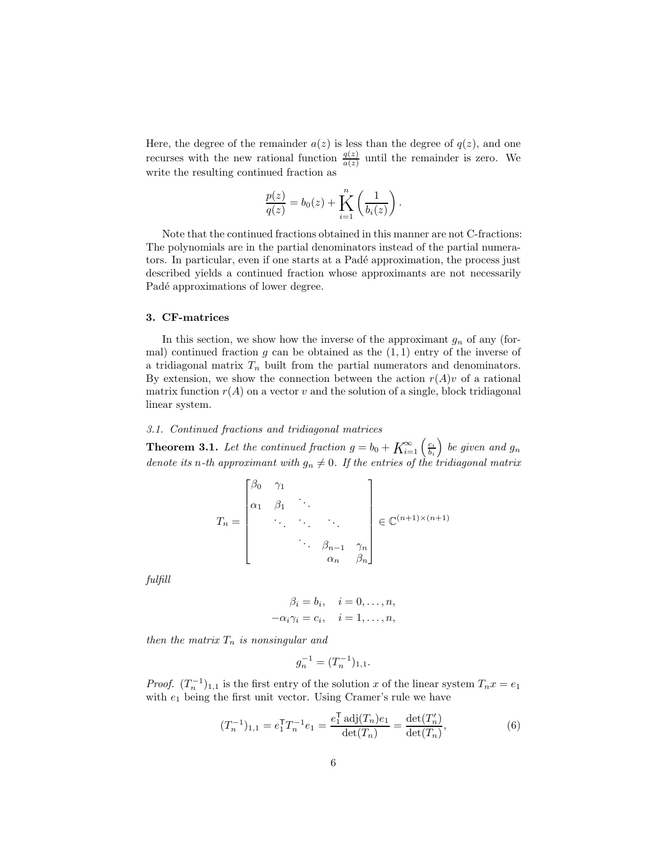Here, the degree of the remainder  $a(z)$  is less than the degree of  $q(z)$ , and one recurses with the new rational function  $\frac{q(z)}{a(z)}$  until the remainder is zero. We write the resulting continued fraction as

$$
\frac{p(z)}{q(z)} = b_0(z) + \sum_{i=1}^n \left(\frac{1}{b_i(z)}\right).
$$

Note that the continued fractions obtained in this manner are not C-fractions: The polynomials are in the partial denominators instead of the partial numerators. In particular, even if one starts at a Padé approximation, the process just described yields a continued fraction whose approximants are not necessarily Padé approximations of lower degree.

## <span id="page-5-0"></span>3. CF-matrices

In this section, we show how the inverse of the approximant  $g_n$  of any (formal) continued fraction  $g$  can be obtained as the  $(1, 1)$  entry of the inverse of a tridiagonal matrix  $T_n$  built from the partial numerators and denominators. By extension, we show the connection between the action  $r(A)v$  of a rational matrix function  $r(A)$  on a vector v and the solution of a single, block tridiagonal linear system.

# <span id="page-5-2"></span>*3.1. Continued fractions and tridiagonal matrices*

**Theorem 3.1.** Let the continued fraction  $g = b_0 + K_{i=1}^{\infty} \left( \frac{c_i}{b_i} \right)$ *be given and*  $g_n$ *denote its n*-th approximant with  $g_n \neq 0$ . If the entries of the tridiagonal matrix

$$
T_n = \begin{bmatrix} \beta_0 & \gamma_1 & & \\ \alpha_1 & \beta_1 & \ddots & & \\ \vdots & \ddots & \ddots & \ddots & \\ \vdots & \ddots & \ddots & \ddots & \\ \vdots & \ddots & \ddots & \ddots & \\ \vdots & \ddots & \ddots & \ddots & \\ \vdots & \ddots & \ddots & \ddots & \\ \vdots & \ddots & \ddots & \ddots & \\ \end{bmatrix} \in \mathbb{C}^{(n+1)\times(n+1)}
$$

*fulfill*

$$
\beta_i = b_i, \quad i = 0, \dots, n,
$$
  

$$
-\alpha_i \gamma_i = c_i, \quad i = 1, \dots, n,
$$

*then the matrix*  $T_n$  *is nonsingular and* 

<span id="page-5-1"></span>
$$
g_n^{-1} = (T_n^{-1})_{1,1}.
$$

*Proof.*  $(T_n^{-1})_{1,1}$  is the first entry of the solution x of the linear system  $T_n x = e_1$ with  $e_1$  being the first unit vector. Using Cramer's rule we have

$$
(T_n^{-1})_{1,1} = e_1^{\mathsf{T}} T_n^{-1} e_1 = \frac{e_1^{\mathsf{T}} \operatorname{adj}(T_n) e_1}{\det(T_n)} = \frac{\det(T'_n)}{\det(T_n)},
$$
\n(6)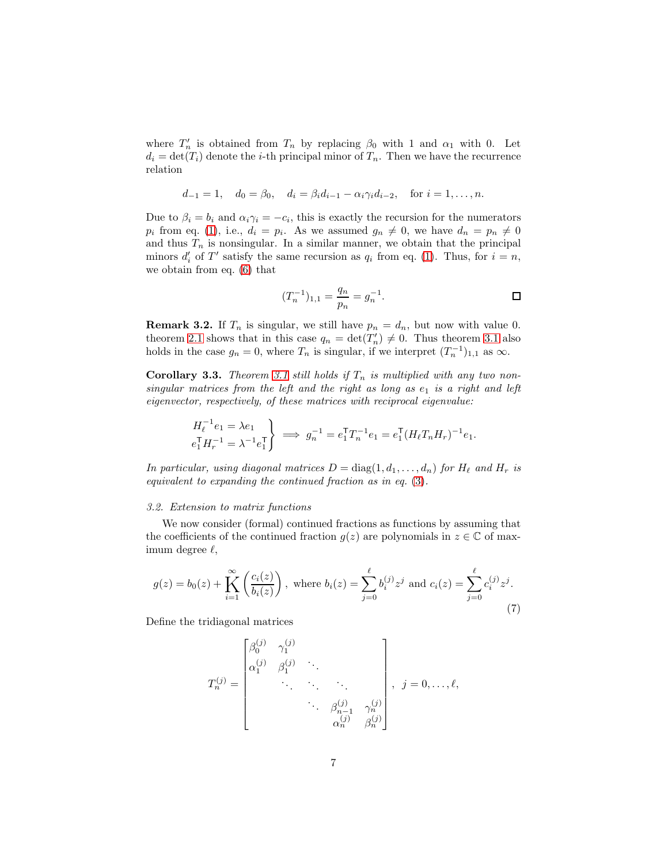where  $T'_n$  is obtained from  $T_n$  by replacing  $\beta_0$  with 1 and  $\alpha_1$  with 0. Let  $d_i = \det(T_i)$  denote the *i*-th principal minor of  $T_n$ . Then we have the recurrence relation

$$
d_{-1} = 1
$$
,  $d_0 = \beta_0$ ,  $d_i = \beta_i d_{i-1} - \alpha_i \gamma_i d_{i-2}$ , for  $i = 1, ..., n$ .

Due to  $\beta_i = b_i$  and  $\alpha_i \gamma_i = -c_i$ , this is exactly the recursion for the numerators  $p_i$  from eq. [\(1\)](#page-3-0), i.e.,  $d_i = p_i$ . As we assumed  $g_n \neq 0$ , we have  $d_n = p_n \neq 0$ and thus  $T_n$  is nonsingular. In a similar manner, we obtain that the principal minors  $d'_i$  of  $T'$  satisfy the same recursion as  $q_i$  from eq. [\(1\)](#page-3-0). Thus, for  $i = n$ , we obtain from eq. [\(6\)](#page-5-1) that

$$
(T_n^{-1})_{1,1} = \frac{q_n}{p_n} = g_n^{-1}.
$$

**Remark 3.2.** If  $T_n$  is singular, we still have  $p_n = d_n$ , but now with value 0. theorem [2.1](#page-3-1) shows that in this case  $q_n = \det(T'_n) \neq 0$ . Thus theorem [3.1](#page-5-2) also holds in the case  $g_n = 0$ , where  $T_n$  is singular, if we interpret  $(T_n^{-1})_{1,1}$  as  $\infty$ .

<span id="page-6-1"></span>**Corollary 3.3.** *Theorem [3.1](#page-5-2) still holds if*  $T_n$  *is multiplied with any two nonsingular matrices from the left and the right as long as*  $e_1$  *is a right and left eigenvector, respectively, of these matrices with reciprocal eigenvalue:*

$$
\left\{\n \begin{aligned}\n H_{\ell}^{-1}e_1 &= \lambda e_1 \\
 e_1^{\sf T} H_{r}^{-1} &= \lambda^{-1} e_1^{\sf T}\n \end{aligned}\n \right\}\n \implies g_n^{-1} = e_1^{\sf T} T_n^{-1} e_1 = e_1^{\sf T} (H_{\ell} T_n H_r)^{-1} e_1.
$$

*In particular, using diagonal matrices*  $D = \text{diag}(1, d_1, \ldots, d_n)$  *for*  $H_\ell$  *and*  $H_r$  *is equivalent to expanding the continued fraction as in eq.* [\(3\)](#page-3-2)*.*

#### *3.2. Extension to matrix functions*

We now consider (formal) continued fractions as functions by assuming that the coefficients of the continued fraction  $g(z)$  are polynomials in  $z \in \mathbb{C}$  of maximum degree  $\ell$ ,

<span id="page-6-0"></span>
$$
g(z) = b_0(z) + \prod_{i=1}^{\infty} \left( \frac{c_i(z)}{b_i(z)} \right), \text{ where } b_i(z) = \sum_{j=0}^{\ell} b_i^{(j)} z^j \text{ and } c_i(z) = \sum_{j=0}^{\ell} c_i^{(j)} z^j.
$$
\n(7)

Define the tridiagonal matrices

$$
T_n^{(j)} = \begin{bmatrix} \beta_0^{(j)} & \gamma_1^{(j)} & & & \\ \alpha_1^{(j)} & \beta_1^{(j)} & \cdot & \cdot & \cdot \\ & \cdot & \cdot & \cdot & \cdot \\ & & \cdot & \cdot & \cdot \\ & & & \cdot & \beta_{n-1}^{(j)} & \gamma_n^{(j)} \\ & & & & \alpha_n^{(j)} & \beta_n^{(j)} \end{bmatrix}, \quad j = 0, \dots, \ell,
$$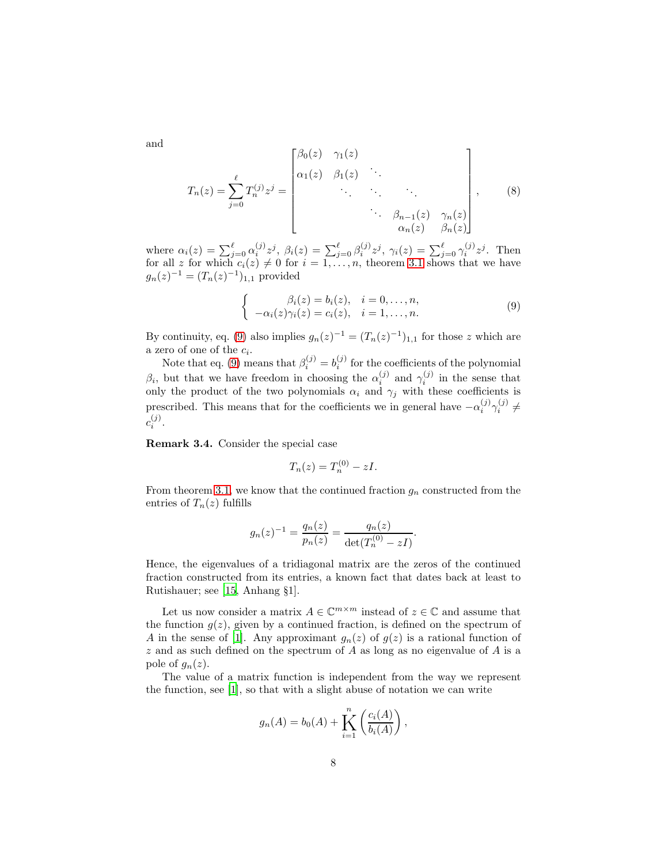<span id="page-7-1"></span>and

$$
T_n(z) = \sum_{j=0}^{\ell} T_n^{(j)} z^j = \begin{bmatrix} \beta_0(z) & \gamma_1(z) & & \\ \alpha_1(z) & \beta_1(z) & \ddots & \ddots & \\ & \ddots & \ddots & \ddots & \\ & & \ddots & \beta_{n-1}(z) & \gamma_n(z) \\ & & \alpha_n(z) & \beta_n(z) \end{bmatrix},\tag{8}
$$

where  $\alpha_i(z) = \sum_{j=0}^{\ell} \alpha_i^{(j)} z^j$ ,  $\beta_i(z) = \sum_{j=0}^{\ell} \beta_i^{(j)} z^j$ ,  $\gamma_i(z) = \sum_{j=0}^{\ell} \gamma_i^{(j)} z^j$ . Then for all z for which  $c_i(z) \neq 0$  for  $i = 1, \ldots, n$ , theorem [3.1](#page-5-2) shows that we have  $g_n(z)^{-1} = (T_n(z)^{-1})_{1,1}$  provided

<span id="page-7-0"></span>
$$
\begin{cases}\n\beta_i(z) = b_i(z), & i = 0, \dots, n, \\
-\alpha_i(z)\gamma_i(z) = c_i(z), & i = 1, \dots, n.\n\end{cases}
$$
\n(9)

By continuity, eq. [\(9\)](#page-7-0) also implies  $g_n(z)^{-1} = (T_n(z)^{-1})_{1,1}$  for those z which are a zero of one of the  $c_i$ .

Note that eq. [\(9\)](#page-7-0) means that  $\beta_i^{(j)} = b_i^{(j)}$  for the coefficients of the polynomial  $\beta_i$ , but that we have freedom in choosing the  $\alpha_i^{(j)}$  and  $\gamma_i^{(j)}$  in the sense that only the product of the two polynomials  $\alpha_i$  and  $\gamma_j$  with these coefficients is prescribed. This means that for the coefficients we in general have  $-\alpha_i^{(j)}\gamma_i^{(j)} \neq$  $c_i^{(j)}$  $\binom{J}{i}$ .

Remark 3.4. Consider the special case

$$
T_n(z) = T_n^{(0)} - zI.
$$

From theorem [3.1,](#page-5-2) we know that the continued fraction  $g_n$  constructed from the entries of  $T_n(z)$  fulfills

$$
g_n(z)^{-1} = \frac{q_n(z)}{p_n(z)} = \frac{q_n(z)}{\det(T_n^{(0)} - zI)}.
$$

Hence, the eigenvalues of a tridiagonal matrix are the zeros of the continued fraction constructed from its entries, a known fact that dates back at least to Rutishauer; see [\[15,](#page-25-3) Anhang §1].

Let us now consider a matrix  $A \in \mathbb{C}^{m \times m}$  instead of  $z \in \mathbb{C}$  and assume that the function  $g(z)$ , given by a continued fraction, is defined on the spectrum of A in the sense of [\[1\]](#page-24-0). Any approximant  $g_n(z)$  of  $g(z)$  is a rational function of z and as such defined on the spectrum of A as long as no eigenvalue of A is a pole of  $g_n(z)$ .

The value of a matrix function is independent from the way we represent the function, see [\[1\]](#page-24-0), so that with a slight abuse of notation we can write

$$
g_n(A) = b_0(A) + \sum_{i=1}^n \left( \frac{c_i(A)}{b_i(A)} \right),
$$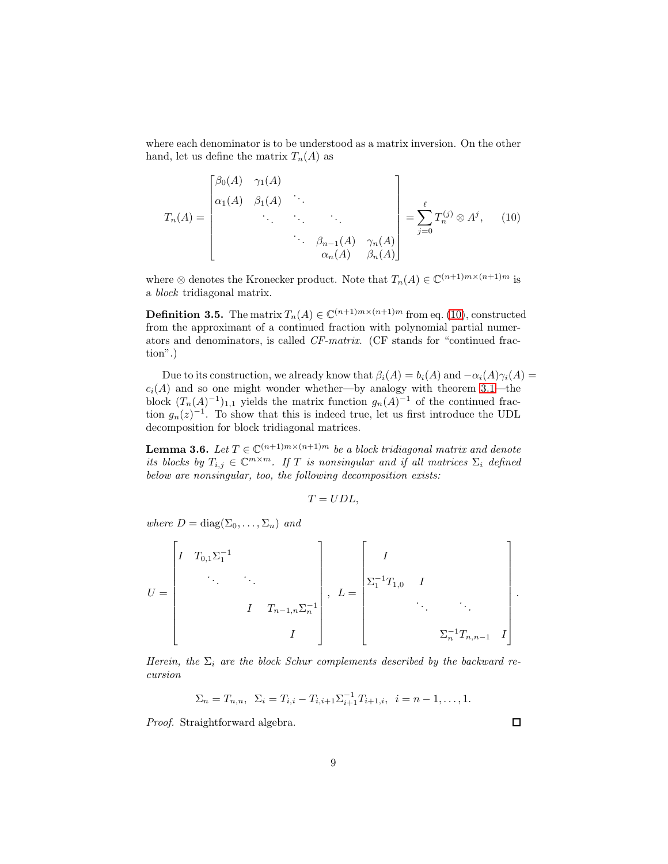where each denominator is to be understood as a matrix inversion. On the other hand, let us define the matrix  $T_n(A)$  as

<span id="page-8-0"></span>
$$
T_n(A) = \begin{bmatrix} \beta_0(A) & \gamma_1(A) & & \\ \alpha_1(A) & \beta_1(A) & \ddots & \\ & \ddots & \ddots & \ddots \\ & & \ddots & \beta_{n-1}(A) & \gamma_n(A) \\ & & \alpha_n(A) & \beta_n(A) \end{bmatrix} = \sum_{j=0}^{\ell} T_n^{(j)} \otimes A^j, \quad (10)
$$

where  $\otimes$  denotes the Kronecker product. Note that  $T_n(A) \in \mathbb{C}^{(n+1)m \times (n+1)m}$  is a *block* tridiagonal matrix.

**Definition 3.5.** The matrix  $T_n(A) \in \mathbb{C}^{(n+1)m \times (n+1)m}$  from eq. [\(10\)](#page-8-0), constructed from the approximant of a continued fraction with polynomial partial numerators and denominators, is called *CF-matrix*. (CF stands for "continued fraction".)

Due to its construction, we already know that  $\beta_i(A) = b_i(A)$  and  $-\alpha_i(A)\gamma_i(A) =$  $c_i(A)$  and so one might wonder whether—by analogy with theorem [3.1—](#page-5-2)the block  $(T_n(A)^{-1})_{1,1}$  yields the matrix function  $g_n(A)^{-1}$  of the continued fraction  $g_n(z)^{-1}$ . To show that this is indeed true, let us first introduce the UDL decomposition for block tridiagonal matrices.

<span id="page-8-1"></span>**Lemma 3.6.** *Let*  $T \in \mathbb{C}^{(n+1)m \times (n+1)m}$  *be a block tridiagonal matrix and denote its blocks by*  $T_{i,j} \in \mathbb{C}^{m \times m}$ . If T *is nonsingular and if all matrices*  $\Sigma_i$  *defined below are nonsingular, too, the following decomposition exists:*

$$
T= UDL,
$$

*where*  $D = diag(\Sigma_0, \ldots, \Sigma_n)$  *and* 

$$
U = \begin{bmatrix} I & T_{0,1} \Sigma_1^{-1} & & & \\ & \ddots & \ddots & & \\ & & I & T_{n-1,n} \Sigma_n^{-1} \\ & & & I \end{bmatrix}, L = \begin{bmatrix} I & & & \\ \Sigma_1^{-1}T_{1,0} & I & & \\ & \ddots & \ddots & \\ & & \Sigma_n^{-1}T_{n,n-1} & I \end{bmatrix}.
$$

*Herein, the*  $\Sigma_i$  *are the block Schur complements described by the backward recursion*

$$
\Sigma_n = T_{n,n}, \ \Sigma_i = T_{i,i} - T_{i,i+1} \Sigma_{i+1}^{-1} T_{i+1,i}, \ i = n-1, \dots, 1.
$$

*Proof.* Straightforward algebra.

□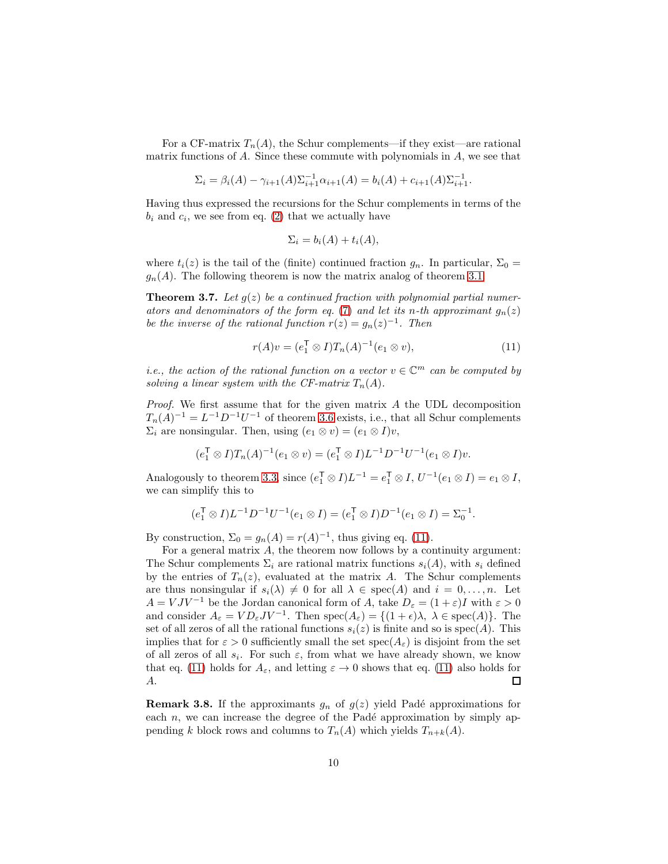For a CF-matrix  $T_n(A)$ , the Schur complements—if they exist—are rational matrix functions of  $A$ . Since these commute with polynomials in  $A$ , we see that

$$
\Sigma_i = \beta_i(A) - \gamma_{i+1}(A)\Sigma_{i+1}^{-1}\alpha_{i+1}(A) = b_i(A) + c_{i+1}(A)\Sigma_{i+1}^{-1}.
$$

Having thus expressed the recursions for the Schur complements in terms of the  $b_i$  and  $c_i$ , we see from eq. [\(2\)](#page-3-3) that we actually have

<span id="page-9-0"></span>
$$
\Sigma_i = b_i(A) + t_i(A),
$$

<span id="page-9-1"></span>where  $t_i(z)$  is the tail of the (finite) continued fraction  $g_n$ . In particular,  $\Sigma_0 =$  $g_n(A)$ . The following theorem is now the matrix analog of theorem [3.1.](#page-5-2)

**Theorem 3.7.** Let  $g(z)$  be a continued fraction with polynomial partial numer*ators and denominators of the form eq.* [\(7\)](#page-6-0) *and let its n-th approximant*  $g_n(z)$ *be the inverse of the rational function*  $r(z) = g_n(z)^{-1}$ *. Then* 

$$
r(A)v = (e_1^{\mathsf{T}} \otimes I)T_n(A)^{-1}(e_1 \otimes v), \tag{11}
$$

*i.e., the action of the rational function on a vector*  $v \in \mathbb{C}^m$  *can be computed by solving a linear system with the CF-matrix*  $T_n(A)$ *.* 

*Proof.* We first assume that for the given matrix A the UDL decomposition  $T_n(A)^{-1} = L^{-1}D^{-1}U^{-1}$  of theorem [3.6](#page-8-1) exists, i.e., that all Schur complements  $\Sigma_i$  are nonsingular. Then, using  $(e_1 \otimes v) = (e_1 \otimes I)v$ ,

$$
(e_1^{\mathsf{T}} \otimes I)T_n(A)^{-1}(e_1 \otimes v) = (e_1^{\mathsf{T}} \otimes I)L^{-1}D^{-1}U^{-1}(e_1 \otimes I)v.
$$

Analogously to theorem [3.3,](#page-6-1) since  $(e_1^{\mathsf{T}} \otimes I)L^{-1} = e_1^{\mathsf{T}} \otimes I$ ,  $U^{-1}(e_1 \otimes I) = e_1 \otimes I$ , we can simplify this to

$$
(e_1^{\mathsf{T}} \otimes I)L^{-1}D^{-1}U^{-1}(e_1 \otimes I) = (e_1^{\mathsf{T}} \otimes I)D^{-1}(e_1 \otimes I) = \Sigma_0^{-1}.
$$

By construction,  $\Sigma_0 = g_n(A) = r(A)^{-1}$ , thus giving eq. [\(11\)](#page-9-0).

For a general matrix  $A$ , the theorem now follows by a continuity argument: The Schur complements  $\Sigma_i$  are rational matrix functions  $s_i(A)$ , with  $s_i$  defined by the entries of  $T_n(z)$ , evaluated at the matrix A. The Schur complements are thus nonsingular if  $s_i(\lambda) \neq 0$  for all  $\lambda \in \text{spec}(A)$  and  $i = 0, \ldots, n$ . Let  $A = VJV^{-1}$  be the Jordan canonical form of A, take  $D_{\varepsilon} = (1 + \varepsilon)I$  with  $\varepsilon > 0$ and consider  $A_{\varepsilon} = V D_{\varepsilon} J V^{-1}$ . Then  $\text{spec}(A_{\varepsilon}) = \{(1 + \epsilon)\lambda, \lambda \in \text{spec}(A)\}$ . The set of all zeros of all the rational functions  $s_i(z)$  is finite and so is  $spec(A)$ . This implies that for  $\varepsilon > 0$  sufficiently small the set spec $(A_{\varepsilon})$  is disjoint from the set of all zeros of all  $s_i$ . For such  $\varepsilon$ , from what we have already shown, we know that eq. [\(11\)](#page-9-0) holds for  $A_{\varepsilon}$ , and letting  $\varepsilon \to 0$  shows that eq. (11) also holds for  $A$ . A.

**Remark 3.8.** If the approximants  $g_n$  of  $g(z)$  yield Padé approximations for each  $n$ , we can increase the degree of the Padé approximation by simply appending k block rows and columns to  $T_n(A)$  which yields  $T_{n+k}(A)$ .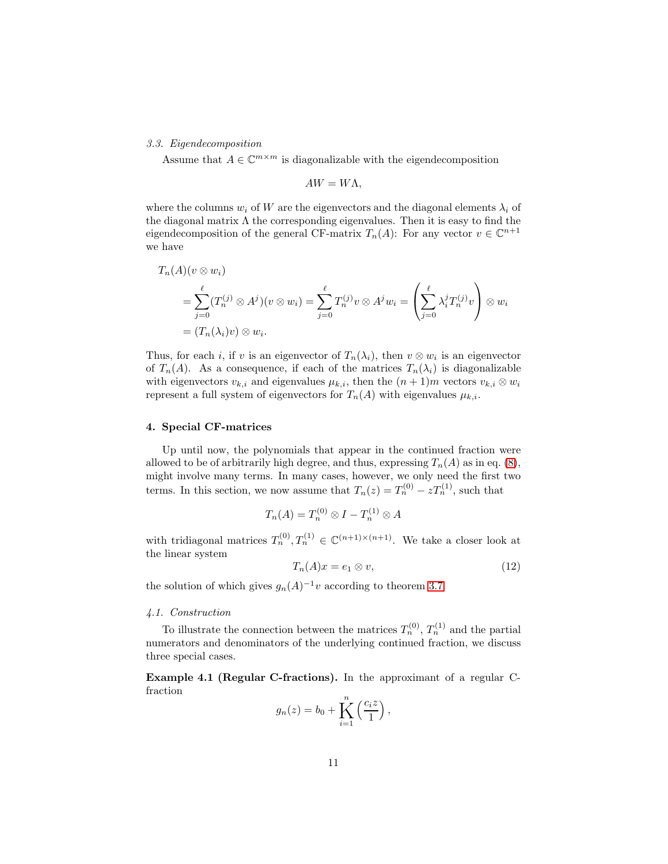# *3.3. Eigendecomposition*

Assume that  $A\in\mathbb{C}^{m\times m}$  is diagonalizable with the eigendecomposition

$$
AW = W\Lambda,
$$

where the columns  $w_i$  of W are the eigenvectors and the diagonal elements  $\lambda_i$  of the diagonal matrix  $\Lambda$  the corresponding eigenvalues. Then it is easy to find the eigendecomposition of the general CF-matrix  $T_n(A)$ : For any vector  $v \in \mathbb{C}^{n+1}$ we have

$$
T_n(A)(v \otimes w_i)
$$
  
=  $\sum_{j=0}^{\ell} (T_n^{(j)} \otimes A^j)(v \otimes w_i) = \sum_{j=0}^{\ell} T_n^{(j)} v \otimes A^j w_i = \left(\sum_{j=0}^{\ell} \lambda_i^j T_n^{(j)} v\right) \otimes w_i$   
=  $(T_n(\lambda_i)v) \otimes w_i$ .

Thus, for each i, if v is an eigenvector of  $T_n(\lambda_i)$ , then  $v \otimes w_i$  is an eigenvector of  $T_n(A)$ . As a consequence, if each of the matrices  $T_n(\lambda_i)$  is diagonalizable with eigenvectors  $v_{k,i}$  and eigenvalues  $\mu_{k,i}$ , then the  $(n+1)m$  vectors  $v_{k,i} \otimes w_i$ represent a full system of eigenvectors for  $T_n(A)$  with eigenvalues  $\mu_{k,i}$ .

### <span id="page-10-0"></span>4. Special CF-matrices

Up until now, the polynomials that appear in the continued fraction were allowed to be of arbitrarily high degree, and thus, expressing  $T_n(A)$  as in eq. [\(8\)](#page-7-1), might involve many terms. In many cases, however, we only need the first two terms. In this section, we now assume that  $T_n(z) = T_n^{(0)} - zT_n^{(1)}$ , such that

<span id="page-10-1"></span>
$$
T_n(A) = T_n^{(0)} \otimes I - T_n^{(1)} \otimes A
$$

with tridiagonal matrices  $T_n^{(0)}, T_n^{(1)} \in \mathbb{C}^{(n+1)\times (n+1)}$ . We take a closer look at the linear system

$$
T_n(A)x = e_1 \otimes v,\tag{12}
$$

the solution of which gives  $g_n(A)^{-1}v$  according to theorem [3.7.](#page-9-1)

# *4.1. Construction*

To illustrate the connection between the matrices  $T_n^{(0)}$ ,  $T_n^{(1)}$  and the partial numerators and denominators of the underlying continued fraction, we discuss three special cases.

Example 4.1 (Regular C-fractions). In the approximant of a regular Cfraction

$$
g_n(z) = b_0 + \prod_{i=1}^n \left(\frac{c_i z}{1}\right),
$$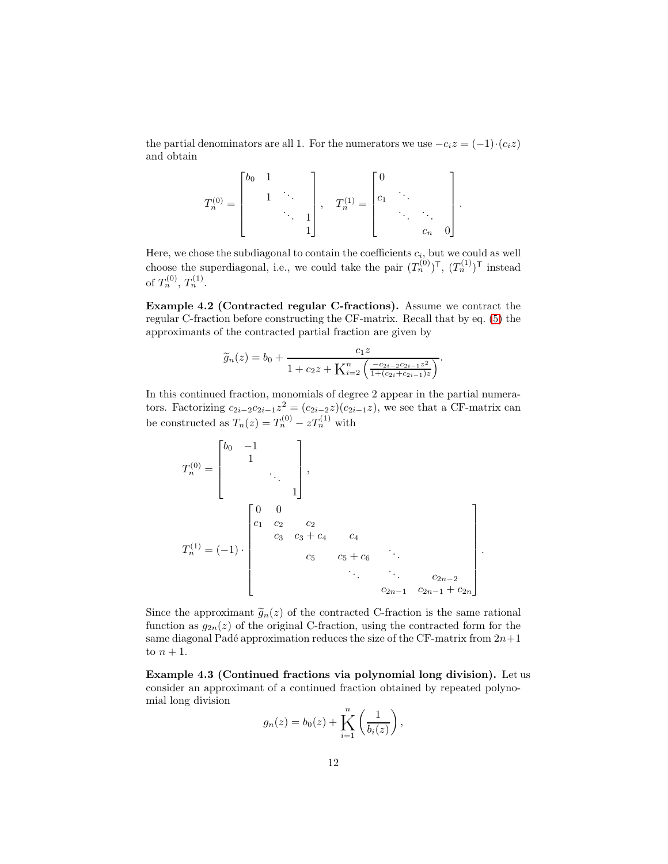the partial denominators are all 1. For the numerators we use  $-c_iz = (-1) \cdot (c_iz)$ and obtain

$$
T_n^{(0)} = \begin{bmatrix} b_0 & 1 & & & \\ & 1 & \ddots & & \\ & & \ddots & 1 & \\ & & & 1 \end{bmatrix}, \quad T_n^{(1)} = \begin{bmatrix} 0 & & & \\ c_1 & \ddots & & \\ & & \ddots & \ddots & \\ & & & c_n & 0 \end{bmatrix}.
$$

Here, we chose the subdiagonal to contain the coefficients  $c_i$ , but we could as well choose the superdiagonal, i.e., we could take the pair  $(T_n^{(0)})^{\mathsf{T}}$ ,  $(T_n^{(1)})^{\mathsf{T}}$  instead of  $T_n^{(0)}, T_n^{(1)}$ .

<span id="page-11-0"></span>Example 4.2 (Contracted regular C-fractions). Assume we contract the regular C-fraction before constructing the CF-matrix. Recall that by eq. [\(5\)](#page-4-0) the approximants of the contracted partial fraction are given by

$$
\widetilde{g}_n(z) = b_0 + \frac{c_1 z}{1 + c_2 z + \mathbf{K}_{i=2}^n \left( \frac{-c_{2i-2} c_{2i-1} z^2}{1 + (c_{2i} + c_{2i-1})z} \right)}.
$$

In this continued fraction, monomials of degree 2 appear in the partial numerators. Factorizing  $c_{2i-2}c_{2i-1}z^2 = (c_{2i-2}z)(c_{2i-1}z)$ , we see that a CF-matrix can be constructed as  $T_n(z) = T_n^{(0)} - zT_n^{(1)}$  with

$$
T_n^{(0)} = \begin{bmatrix} b_0 & -1 & & & \\ & 1 & & & \\ & & & \ddots & \\ & & & & 1 \end{bmatrix},
$$
  

$$
T_n^{(1)} = (-1) \cdot \begin{bmatrix} 0 & 0 & & & \\ & c_1 & c_2 & c_2 & & \\ & & c_3 & c_3 + c_4 & c_4 & \\ & & & & c_5 & c_5 + c_6 & \ddots \\ & & & & & \ddots & \ddots & c_{2n-2} \\ & & & & & & c_{2n-1} + c_{2n} \end{bmatrix}
$$

.

Since the approximant  $\tilde{g}_n(z)$  of the contracted C-fraction is the same rational function as  $g_{2n}(z)$  of the original C-fraction, using the contracted form for the same diagonal Padé approximation reduces the size of the CF-matrix from  $2n+1$ to  $n+1$ .

Example 4.3 (Continued fractions via polynomial long division). Let us consider an approximant of a continued fraction obtained by repeated polynomial long division

$$
g_n(z) = b_0(z) + \sum_{i=1}^n \left( \frac{1}{b_i(z)} \right),
$$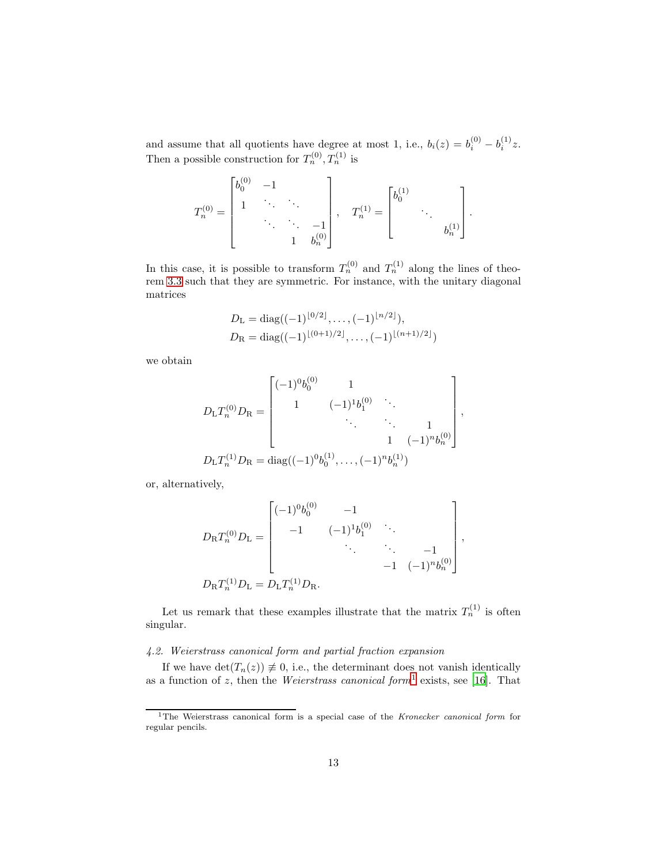and assume that all quotients have degree at most 1, i.e.,  $b_i(z) = b_i^{(0)} - b_i^{(1)}z$ . Then a possible construction for  $T_n^{(0)}, T_n^{(1)}$  is

$$
T_n^{(0)} = \begin{bmatrix} b_0^{(0)} & -1 & & \\ 1 & \ddots & \ddots & \\ & & \ddots & \ddots & -1 \\ & & & 1 & b_n^{(0)} \end{bmatrix}, \quad T_n^{(1)} = \begin{bmatrix} b_0^{(1)} & & \\ & \ddots & \\ & & b_n^{(1)} \end{bmatrix}.
$$

In this case, it is possible to transform  $T_n^{(0)}$  and  $T_n^{(1)}$  along the lines of theorem [3.3](#page-6-1) such that they are symmetric. For instance, with the unitary diagonal matrices

$$
D_{\mathrm{L}} = \mathrm{diag}((-1)^{\lfloor 0/2 \rfloor}, \dots, (-1)^{\lfloor n/2 \rfloor}),
$$
  
\n
$$
D_{\mathrm{R}} = \mathrm{diag}((-1)^{\lfloor (0+1)/2 \rfloor}, \dots, (-1)^{\lfloor (n+1)/2 \rfloor})
$$

we obtain

$$
D_{\rm L}T_n^{(0)}D_{\rm R} = \begin{bmatrix} (-1)^0b_0^{(0)} & 1 & & \\ 1 & (-1)^1b_1^{(0)} & \ddots & \\ & \ddots & \ddots & 1 \\ & & 1 & (-1)^n b_n^{(0)} \end{bmatrix},
$$
  

$$
D_{\rm L}T_n^{(1)}D_{\rm R} = \text{diag}((-1)^0b_0^{(1)}, \dots, (-1)^n b_n^{(1)})
$$

or, alternatively,

$$
D_{\mathcal{R}}T_n^{(0)}D_{\mathcal{L}} = \begin{bmatrix} (-1)^0 b_0^{(0)} & -1 & & \\ & -1 & (-1)^1 b_1^{(0)} & \ddots & \\ & & \ddots & -1 & \\ & & & -1 & (-1)^n b_n^{(0)} \end{bmatrix},
$$
  

$$
D_{\mathcal{R}}T_n^{(1)}D_{\mathcal{L}} = D_{\mathcal{L}}T_n^{(1)}D_{\mathcal{R}}.
$$

Let us remark that these examples illustrate that the matrix  $T_n^{(1)}$  is often singular.

# *4.2. Weierstrass canonical form and partial fraction expansion*

If we have  $\det(T_n(z)) \neq 0$ , i.e., the determinant does not vanish identically as a function of z, then the *Weierstrass canonical form*[1](#page-12-0) exists, see [\[16](#page-25-4)]. That

<span id="page-12-0"></span><sup>&</sup>lt;sup>1</sup>The Weierstrass canonical form is a special case of the *Kronecker canonical form* for regular pencils.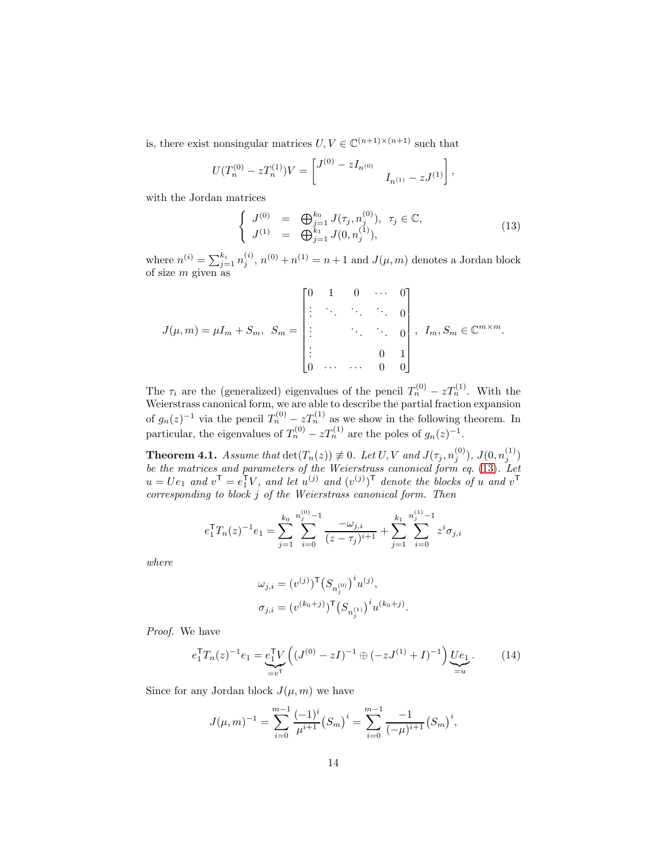is, there exist nonsingular matrices  $U, V \in \mathbb{C}^{(n+1)\times (n+1)}$  such that

$$
U(T_n^{(0)} - zT_n^{(1)})V = \begin{bmatrix} J^{(0)} - zI_{n^{(0)}} & I_{n^{(1)}} - zJ^{(1)} \end{bmatrix}
$$

with the Jordan matrices

<span id="page-13-0"></span>
$$
\begin{cases}\nJ^{(0)} = \bigoplus_{j=1}^{k_0} J(\tau_j, n_j^{(0)}), \ \tau_j \in \mathbb{C}, \\
J^{(1)} = \bigoplus_{j=1}^{k_1} J(0, n_j^{(1)}),\n\end{cases} \tag{13}
$$

,

where  $n^{(i)} = \sum_{j=1}^{k_i} n_j^{(i)}$  $j^{(i)}$ ,  $n^{(0)} + n^{(1)} = n + 1$  and  $J(\mu, m)$  denotes a Jordan block of size m given as

$$
J(\mu, m) = \mu I_m + S_m, \ S_m = \begin{bmatrix} 0 & 1 & 0 & \cdots & 0 \\ \vdots & \ddots & \ddots & \ddots & 0 \\ \vdots & & & \ddots & \ddots & 0 \\ \vdots & & & & \ddots & 0 \\ 0 & \cdots & \cdots & 0 & 0 \end{bmatrix}, \ I_m, S_m \in \mathbb{C}^{m \times m}.
$$

The  $\tau_i$  are the (generalized) eigenvalues of the pencil  $T_n^{(0)} - zT_n^{(1)}$ . With the Weierstrass canonical form, we are able to describe the partial fraction expansion of  $g_n(z)^{-1}$  via the pencil  $T_n^{(0)} - zT_n^{(1)}$  as we show in the following theorem. In particular, the eigenvalues of  $T_n^{(0)} - zT_n^{(1)}$  are the poles of  $g_n(z)^{-1}$ .

<span id="page-13-2"></span>**Theorem 4.1.** *Assume that*  $det(T_n(z)) \neq 0$ *. Let*  $U, V$  *and*  $J(\tau_j, n_j^{(0)})$ *,*  $J(0, n_j^{(1)})$ *be the matrices and parameters of the Weierstrass canonical form eq.* [\(13\)](#page-13-0)*. Let*  $u = Ue_1$  and  $v^{\mathsf{T}} = e_1^{\mathsf{T}}V$ , and let  $u^{(j)}$  and  $(v^{(j)})^{\mathsf{T}}$  denote the blocks of u and  $v^{\mathsf{T}}$ *corresponding to block* j *of the Weierstrass canonical form. Then*

$$
e_1^{\mathsf{T}} T_n(z)^{-1} e_1 = \sum_{j=1}^{k_0} \sum_{i=0}^{n_j^{(0)} - 1} \frac{-\omega_{j,i}}{(z - \tau_j)^{i+1}} + \sum_{j=1}^{k_1} \sum_{i=0}^{n_j^{(1)} - 1} z^i \sigma_{j,i}
$$

*where*

$$
\begin{aligned} \omega_{j,i} &= (v^{(j)})^{\mathsf{T}} \big( S_{n_j^{(0)}} \big)^i u^{(j)}, \\ \sigma_{j,i} &= (v^{(k_0+j)})^{\mathsf{T}} \big( S_{n_j^{(1)}} \big)^i u^{(k_0+j)}.\end{aligned}
$$

*Proof.* We have

<span id="page-13-1"></span>
$$
e_1^{\mathsf{T}} T_n(z)^{-1} e_1 = \underbrace{e_1^{\mathsf{T}} V}_{=v^{\mathsf{T}}} \left( (J^{(0)} - zI)^{-1} \oplus (-zJ^{(1)} + I)^{-1} \right) \underbrace{U e_1}_{=u}.
$$
 (14)

Since for any Jordan block  $J(\mu, m)$  we have

$$
J(\mu, m)^{-1} = \sum_{i=0}^{m-1} \frac{(-1)^i}{\mu^{i+1}} (S_m)^i = \sum_{i=0}^{m-1} \frac{-1}{(-\mu)^{i+1}} (S_m)^i,
$$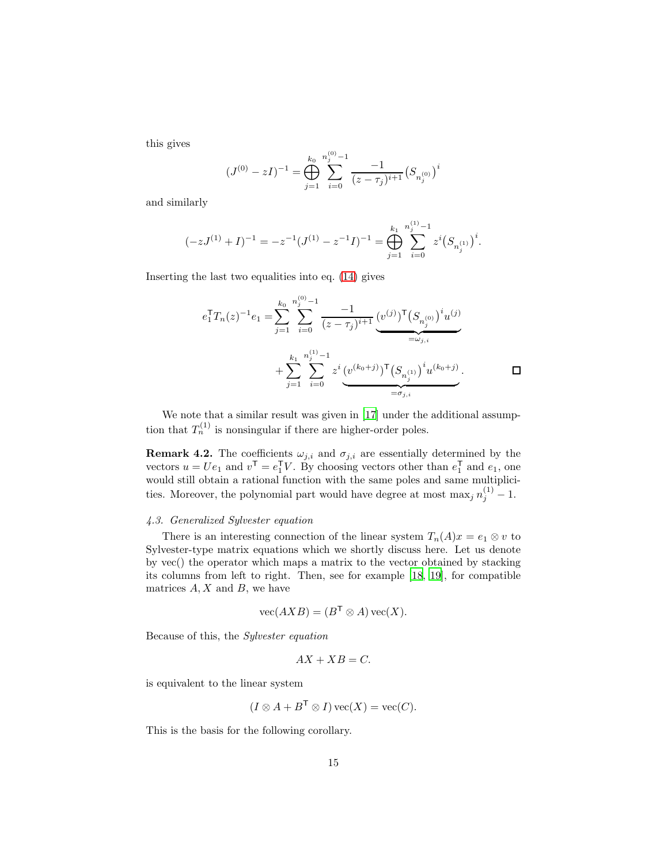this gives

$$
(J^{(0)} - zI)^{-1} = \bigoplus_{j=1}^{k_0} \sum_{i=0}^{n_j^{(0)} - 1} \frac{-1}{(z - \tau_j)^{i+1}} (S_{n_j^{(0)}})^i
$$

and similarly

$$
(-zJ^{(1)} + I)^{-1} = -z^{-1}(J^{(1)} - z^{-1}I)^{-1} = \bigoplus_{j=1}^{k_1} \sum_{i=0}^{n_j^{(1)} - 1} z^i (S_{n_j^{(1)}})^i.
$$

Inserting the last two equalities into eq. [\(14\)](#page-13-1) gives

$$
e_1^{\mathsf{T}}T_n(z)^{-1}e_1 = \sum_{j=1}^{k_0} \sum_{i=0}^{n_j^{(0)}-1} \frac{-1}{(z-\tau_j)^{i+1}} \underbrace{(v^{(j)})^{\mathsf{T}} (S_{n_j^{(0)}})^i u^{(j)}}_{=\omega_{j,i}} + \sum_{j=1}^{k_1} \sum_{i=0}^{n_j^{(1)}-1} z^i \underbrace{(v^{(k_0+j)})^{\mathsf{T}} (S_{n_j^{(1)}})^i u^{(k_0+j)}}_{=\sigma_{j,i}}.
$$

We note that a similar result was given in [\[17\]](#page-25-5) under the additional assumption that  $T_n^{(1)}$  is nonsingular if there are higher-order poles.

**Remark 4.2.** The coefficients  $\omega_{j,i}$  and  $\sigma_{j,i}$  are essentially determined by the vectors  $u = Ue_1$  and  $v^{\mathsf{T}} = e_1^{\mathsf{T}}V$ . By choosing vectors other than  $e_1^{\mathsf{T}}$  and  $e_1$ , one would still obtain a rational function with the same poles and same multiplicities. Moreover, the polynomial part would have degree at most  $\max_j n_j^{(1)} - 1$ .

# *4.3. Generalized Sylvester equation*

There is an interesting connection of the linear system  $T_n(A)x = e_1 \otimes v$  to Sylvester-type matrix equations which we shortly discuss here. Let us denote by vec() the operator which maps a matrix to the vector obtained by stacking its columns from left to right. Then, see for example [\[18,](#page-25-6) [19](#page-25-7)], for compatible matrices  $A, X$  and  $B$ , we have

$$
\text{vec}(AXB) = (B^{\mathsf{T}} \otimes A)\,\text{vec}(X).
$$

Because of this, the *Sylvester equation*

$$
AX + XB = C.
$$

is equivalent to the linear system

$$
(I \otimes A + B^{\mathsf{T}} \otimes I) \operatorname{vec}(X) = \operatorname{vec}(C).
$$

This is the basis for the following corollary.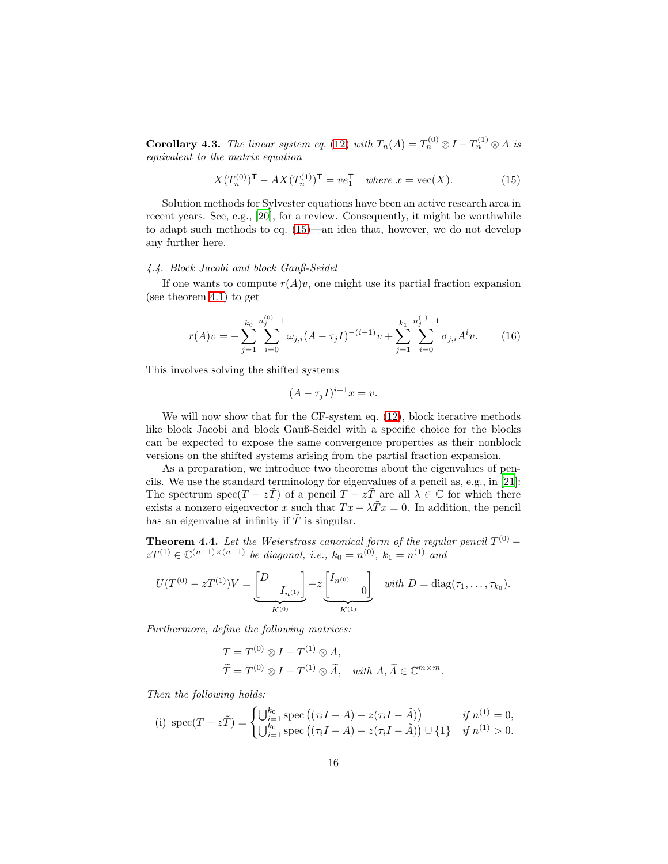**Corollary 4.3.** *The linear system eq.* [\(12\)](#page-10-1) *with*  $T_n(A) = T_n^{(0)} \otimes I - T_n^{(1)} \otimes A$  *is equivalent to the matrix equation*

<span id="page-15-0"></span>
$$
X(T_n^{(0)})^{\mathsf{T}} - AX(T_n^{(1)})^{\mathsf{T}} = ve_1^{\mathsf{T}} \quad \text{where } x = \text{vec}(X). \tag{15}
$$

Solution methods for Sylvester equations have been an active research area in recent years. See, e.g., [\[20\]](#page-25-8), for a review. Consequently, it might be worthwhile to adapt such methods to eq. [\(15\)](#page-15-0)—an idea that, however, we do not develop any further here.

# *4.4. Block Jacobi and block Gauß-Seidel*

If one wants to compute  $r(A)v$ , one might use its partial fraction expansion (see theorem [4.1\)](#page-13-2) to get

<span id="page-15-2"></span>
$$
r(A)v = -\sum_{j=1}^{k_0} \sum_{i=0}^{n_j^{(0)}-1} \omega_{j,i} (A - \tau_j I)^{-(i+1)} v + \sum_{j=1}^{k_1} \sum_{i=0}^{n_j^{(1)}-1} \sigma_{j,i} A^i v.
$$
 (16)

This involves solving the shifted systems

$$
(A - \tau_j I)^{i+1} x = v.
$$

We will now show that for the CF-system eq.  $(12)$ , block iterative methods like block Jacobi and block Gauß-Seidel with a specific choice for the blocks can be expected to expose the same convergence properties as their nonblock versions on the shifted systems arising from the partial fraction expansion.

As a preparation, we introduce two theorems about the eigenvalues of pencils. We use the standard terminology for eigenvalues of a pencil as, e.g., in [\[21\]](#page-25-9): The spectrum spec( $T - z\tilde{T}$ ) of a pencil  $T - z\tilde{T}$  are all  $\lambda \in \mathbb{C}$  for which there exists a nonzero eigenvector x such that  $Tx - \lambda Tx = 0$ . In addition, the pencil has an eigenvalue at infinity if  $\tilde{T}$  is singular.

<span id="page-15-1"></span>**Theorem 4.4.** *Let the Weierstrass canonical form of the regular pencil*  $T^{(0)}$  –  $zT^{(1)} \in \mathbb{C}^{(n+1)\times(n+1)}$  *be diagonal, i.e.,*  $k_0 = n^{(0)}$ ,  $k_1 = n^{(1)}$  *and* 

$$
U(T^{(0)} - zT^{(1)})V = \underbrace{\begin{bmatrix} D & & \\ & I_{n^{(1)}} \end{bmatrix}}_{K^{(0)}} - z \underbrace{\begin{bmatrix} I_{n^{(0)}} & & \\ & 0 \end{bmatrix}}_{K^{(1)}} \quad \text{with } D = \text{diag}(\tau_1, \dots, \tau_{k_0}).
$$

*Furthermore, define the following matrices:*

$$
T = T^{(0)} \otimes I - T^{(1)} \otimes A,
$$
  
\n
$$
\widetilde{T} = T^{(0)} \otimes I - T^{(1)} \otimes \widetilde{A}, \quad \text{with } A, \widetilde{A} \in \mathbb{C}^{m \times m}.
$$

*Then the following holds:*

(i) 
$$
spec(T - z\tilde{T}) = \begin{cases} \bigcup_{i=1}^{k_0} spec ((\tau_i I - A) - z(\tau_i I - \tilde{A})) & \text{if } n^{(1)} = 0, \\ \bigcup_{i=1}^{k_0} spec ((\tau_i I - A) - z(\tau_i I - \tilde{A})) \cup \{1\} & \text{if } n^{(1)} > 0. \end{cases}
$$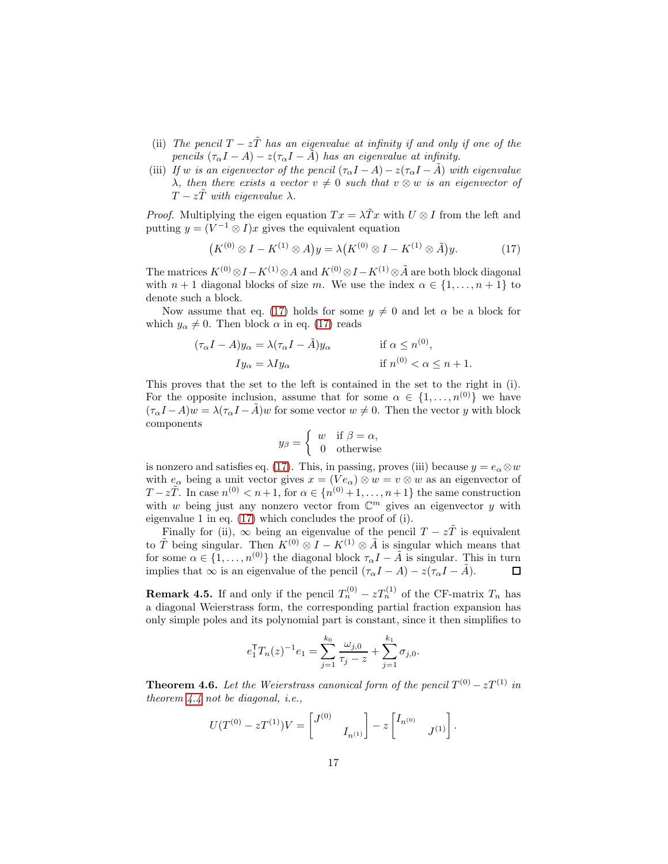- (ii) *The pencil*  $T z\tilde{T}$  *has an eigenvalue at infinity if and only if one of the pencils*  $(\tau_{\alpha}I - A) - z(\tau_{\alpha}I - \tilde{A})$  *has an eigenvalue at infinity.*
- (iii) *If* w *is an eigenvector of the pencil*  $(\tau_{\alpha}I A) z(\tau_{\alpha}I A)$  *with eigenvalue*  $\lambda$ *, then there exists a vector*  $v \neq 0$  *such that*  $v \otimes w$  *is an eigenvector of*  $T - zT$  *with eigenvalue*  $\lambda$ .

*Proof.* Multiplying the eigen equation  $Tx = \lambda \tilde{T}x$  with  $U \otimes I$  from the left and putting  $y = (V^{-1} \otimes I)x$  gives the equivalent equation

<span id="page-16-0"></span>
$$
(K^{(0)} \otimes I - K^{(1)} \otimes A)y = \lambda (K^{(0)} \otimes I - K^{(1)} \otimes \tilde{A})y. \tag{17}
$$

The matrices  $K^{(0)} \otimes I - K^{(1)} \otimes A$  and  $K^{(0)} \otimes I - K^{(1)} \otimes \tilde{A}$  are both block diagonal with  $n+1$  diagonal blocks of size m. We use the index  $\alpha \in \{1, \ldots, n+1\}$  to denote such a block.

Now assume that eq. [\(17\)](#page-16-0) holds for some  $y \neq 0$  and let  $\alpha$  be a block for which  $y_{\alpha} \neq 0$ . Then block  $\alpha$  in eq. [\(17\)](#page-16-0) reads

$$
(\tau_{\alpha}I - A)y_{\alpha} = \lambda(\tau_{\alpha}I - \tilde{A})y_{\alpha}
$$
 if  $\alpha \le n^{(0)}$ ,  
\n
$$
Iy_{\alpha} = \lambda Iy_{\alpha}
$$
 if  $n^{(0)} < \alpha \le n + 1$ .

This proves that the set to the left is contained in the set to the right in (i). For the opposite inclusion, assume that for some  $\alpha \in \{1, \ldots, n^{(0)}\}$  we have  $(\tau_{\alpha}I - A)w = \lambda(\tau_{\alpha}I - \tilde{A})w$  for some vector  $w \neq 0$ . Then the vector y with block components

$$
y_{\beta} = \begin{cases} w & \text{if } \beta = \alpha, \\ 0 & \text{otherwise} \end{cases}
$$

is nonzero and satisfies eq. [\(17\)](#page-16-0). This, in passing, proves (iii) because  $y = e_{\alpha} \otimes w$ with  $e_{\alpha}$  being a unit vector gives  $x = (Ve_{\alpha}) \otimes w = v \otimes w$  as an eigenvector of  $T - z\tilde{T}$ . In case  $n^{(0)} < n+1$ , for  $\alpha \in \{n^{(0)} + 1, \ldots, n+1\}$  the same construction with w being just any nonzero vector from  $\mathbb{C}^m$  gives an eigenvector y with eigenvalue 1 in eq. [\(17\)](#page-16-0) which concludes the proof of (i).

Finally for (ii),  $\infty$  being an eigenvalue of the pencil  $T - z\tilde{T}$  is equivalent to  $\tilde{T}$  being singular. Then  $K^{(0)} \otimes I - K^{(1)} \otimes \tilde{A}$  is singular which means that for some  $\alpha \in \{1, ..., n^{(0)}\}$  the diagonal block  $\tau_{\alpha}I - \tilde{A}$  is singular. This in turn implies that  $\infty$  is an eigenvalue of the pencil  $(\tau_{\alpha}I - A) - z(\tau_{\alpha}I - \tilde{A})$ . implies that  $\infty$  is an eigenvalue of the pencil  $(\tau_{\alpha}I - A) - z(\tau_{\alpha}I - \tilde{A})$ .

**Remark 4.5.** If and only if the pencil  $T_n^{(0)} - zT_n^{(1)}$  of the CF-matrix  $T_n$  has a diagonal Weierstrass form, the corresponding partial fraction expansion has only simple poles and its polynomial part is constant, since it then simplifies to

$$
e_1^{\mathsf{T}} T_n(z)^{-1} e_1 = \sum_{j=1}^{k_0} \frac{\omega_{j,0}}{\tau_j - z} + \sum_{j=1}^{k_1} \sigma_{j,0}.
$$

<span id="page-16-1"></span>**Theorem 4.6.** Let the Weierstrass canonical form of the pencil  $T^{(0)} - zT^{(1)}$  in *theorem [4.4](#page-15-1) not be diagonal, i.e.,*

$$
U(T^{(0)} - zT^{(1)})V = \begin{bmatrix} J^{(0)} & \\ & I_{n^{(1)}} \end{bmatrix} - z \begin{bmatrix} I_{n^{(0)}} & \\ & J^{(1)} \end{bmatrix}.
$$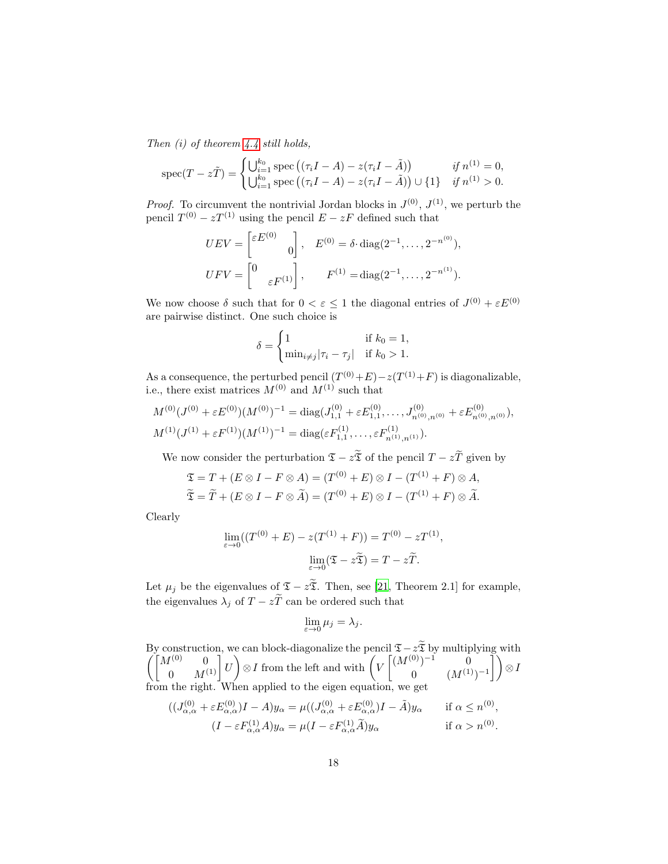*Then (i) of theorem [4.4](#page-15-1) still holds,*

$$
\operatorname{spec}(T - z\tilde{T}) = \begin{cases} \bigcup_{i=1}^{k_0} \operatorname{spec}\left( (\tau_i I - A) - z(\tau_i I - \tilde{A}) \right) & \text{if } n^{(1)} = 0, \\ \bigcup_{i=1}^{k_0} \operatorname{spec}\left( (\tau_i I - A) - z(\tau_i I - \tilde{A}) \right) \cup \{1\} & \text{if } n^{(1)} > 0. \end{cases}
$$

*Proof.* To circumvent the nontrivial Jordan blocks in  $J^{(0)}$ ,  $J^{(1)}$ , we perturb the pencil  $T^{(0)} - zT^{(1)}$  using the pencil  $E - zF$  defined such that

$$
UEV = \begin{bmatrix} \varepsilon E^{(0)} & 0 \\ 0 & 0 \end{bmatrix}, \quad E^{(0)} = \delta \cdot \text{diag}(2^{-1}, \dots, 2^{-n^{(0)}}),
$$

$$
UFV = \begin{bmatrix} 0 & 0 \\ 0 & \varepsilon F^{(1)} \end{bmatrix}, \qquad F^{(1)} = \text{diag}(2^{-1}, \dots, 2^{-n^{(1)}}).
$$

We now choose  $\delta$  such that for  $0 < \varepsilon \leq 1$  the diagonal entries of  $J^{(0)} + \varepsilon E^{(0)}$ are pairwise distinct. One such choice is

$$
\delta = \begin{cases} 1 & \text{if } k_0 = 1, \\ \min_{i \neq j} |\tau_i - \tau_j| & \text{if } k_0 > 1. \end{cases}
$$

As a consequence, the perturbed pencil  $(T^{(0)}+E)-z(T^{(1)}+F)$  is diagonalizable, i.e., there exist matrices  $M^{(0)}$  and  $M^{(1)}$  such that

$$
M^{(0)}(J^{(0)} + \varepsilon E^{(0)})(M^{(0)})^{-1} = \text{diag}(J_{1,1}^{(0)} + \varepsilon E_{1,1}^{(0)}, \dots, J_{n^{(0)},n^{(0)}}^{(0)} + \varepsilon E_{n^{(0)},n^{(0)}}^{(0)}),
$$
  

$$
M^{(1)}(J^{(1)} + \varepsilon F^{(1)})(M^{(1)})^{-1} = \text{diag}(\varepsilon F_{1,1}^{(1)}, \dots, \varepsilon F_{n^{(1)},n^{(1)}}^{(1)}).
$$

We now consider the perturbation  $\mathfrak{T} - z\widetilde{\mathfrak{T}}$  of the pencil  $T - z\widetilde{T}$  given by

$$
\mathfrak{T} = T + (E \otimes I - F \otimes A) = (T^{(0)} + E) \otimes I - (T^{(1)} + F) \otimes A,
$$
  

$$
\widetilde{\mathfrak{T}} = \widetilde{T} + (E \otimes I - F \otimes \widetilde{A}) = (T^{(0)} + E) \otimes I - (T^{(1)} + F) \otimes \widetilde{A}.
$$

Clearly

$$
\lim_{\varepsilon \to 0} ((T^{(0)} + E) - z(T^{(1)} + F)) = T^{(0)} - zT^{(1)},
$$

$$
\lim_{\varepsilon \to 0} (\mathfrak{T} - z\widetilde{\mathfrak{T}}) = T - z\widetilde{T}.
$$

Let  $\mu_j$  be the eigenvalues of  $\mathfrak{T} - z\tilde{\mathfrak{T}}$ . Then, see [\[21](#page-25-9), Theorem 2.1] for example, the eigenvalues  $\lambda_j$  of  $T - z\tilde{T}$  can be ordered such that

$$
\lim_{\varepsilon \to 0} \mu_j = \lambda_j.
$$

By construction, we can block-diagonalize the pencil  $\mathfrak{I}-z\widetilde{\mathfrak{X}}$  by multiplying with  $\left( \begin{bmatrix} M^{(0)} & 0 \ 0 & M^{(1)} \end{bmatrix} U$  $\bigcirc$   $I$  from the left and with  $\bigg(V$  $\left[ (M^{(0)})^{-1} \right]$  0 0  $(M^{(1)})^{-1}$ Ť١ ⊗I from the right. When applied to the eigen equation, we get

$$
((J_{\alpha,\alpha}^{(0)} + \varepsilon E_{\alpha,\alpha}^{(0)})I - A)y_{\alpha} = \mu((J_{\alpha,\alpha}^{(0)} + \varepsilon E_{\alpha,\alpha}^{(0)})I - \tilde{A})y_{\alpha}
$$
 if  $\alpha \le n^{(0)}$ ,  

$$
(I - \varepsilon F_{\alpha,\alpha}^{(1)}A)y_{\alpha} = \mu(I - \varepsilon F_{\alpha,\alpha}^{(1)}\tilde{A})y_{\alpha}
$$
 if  $\alpha > n^{(0)}$ .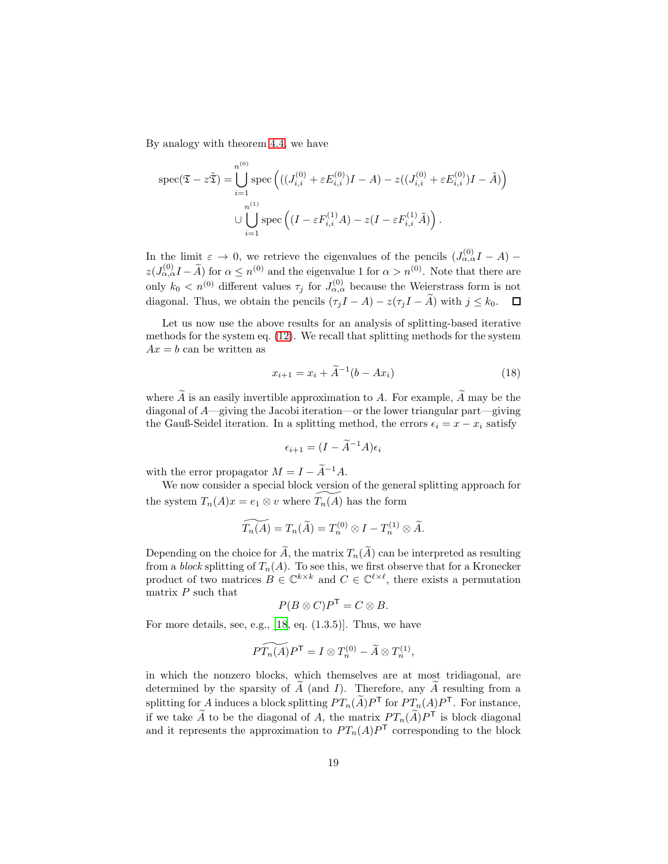By analogy with theorem [4.4,](#page-15-1) we have

$$
\text{spec}(\mathfrak{T} - z\tilde{\mathfrak{T}}) = \bigcup_{i=1}^{n^{(0)}} \text{spec}\left(((J_{i,i}^{(0)} + \varepsilon E_{i,i}^{(0)})I - A) - z((J_{i,i}^{(0)} + \varepsilon E_{i,i}^{(0)})I - \tilde{A})\right)
$$

$$
\cup \bigcup_{i=1}^{n^{(1)}} \text{spec}\left((I - \varepsilon F_{i,i}^{(1)}A) - z(I - \varepsilon F_{i,i}^{(1)}\tilde{A})\right).
$$

In the limit  $\varepsilon \to 0$ , we retrieve the eigenvalues of the pencils  $(J_{\alpha,\alpha}^{(0)}I - A)$  –  $z(J_{\alpha,\alpha}^{(0)}I-\widetilde{A})$  for  $\alpha\leq n^{(0)}$  and the eigenvalue 1 for  $\alpha>n^{(0)}$ . Note that there are only  $k_0 < n^{(0)}$  different values  $\tau_j$  for  $J_{\alpha,\alpha}^{(0)}$  because the Weierstrass form is not diagonal. Thus, we obtain the pencils  $(\tau_j I - A) - z(\tau_j I - \widetilde{A})$  with  $j \leq k_0$ .  $\Box$ 

Let us now use the above results for an analysis of splitting-based iterative methods for the system eq. [\(12\)](#page-10-1). We recall that splitting methods for the system  $Ax = b$  can be written as

$$
x_{i+1} = x_i + \tilde{A}^{-1}(b - Ax_i)
$$
 (18)

where  $\widetilde{A}$  is an easily invertible approximation to A. For example,  $\widetilde{A}$  may be the diagonal of A—giving the Jacobi iteration—or the lower triangular part—giving the Gauß-Seidel iteration. In a splitting method, the errors  $\epsilon_i = x - x_i$  satisfy

$$
\epsilon_{i+1} = (I - \widetilde{A}^{-1}A)\epsilon_i
$$

with the error propagator  $M = I - \widetilde{A}^{-1}A$ .

We now consider a special block version of the general splitting approach for the system  $T_n(A)x = e_1 \otimes v$  where  $T_n(A)$  has the form

$$
\widetilde{T_n(A)} = T_n(\widetilde{A}) = T_n^{(0)} \otimes I - T_n^{(1)} \otimes \widetilde{A}.
$$

Depending on the choice for  $\widetilde{A}$ , the matrix  $T_n(\widetilde{A})$  can be interpreted as resulting from a *block* splitting of  $T_n(A)$ . To see this, we first observe that for a Kronecker product of two matrices  $B \in \mathbb{C}^{k \times k}$  and  $C \in \mathbb{C}^{\ell \times \ell}$ , there exists a permutation matrix  $P$  such that

$$
P(B\otimes C)P^{\mathsf{T}}=C\otimes B.
$$

For more details, see, e.g., [\[18,](#page-25-6) eq. (1.3.5)]. Thus, we have

$$
\widetilde{PT_n(A)}P^{\mathsf{T}} = I \otimes T_n^{(0)} - \widetilde{A} \otimes T_n^{(1)},
$$

in which the nonzero blocks, which themselves are at most tridiagonal, are determined by the sparsity of  $A$  (and  $I$ ). Therefore, any  $A$  resulting from a splitting for A induces a block splitting  $PT_n(\widetilde{A})P^{\mathsf{T}}$  for  $PT_n(A)P^{\mathsf{T}}$ . For instance, if we take  $\widetilde{A}$  to be the diagonal of A, the matrix  $PT_n(\widetilde{A})P^{\mathsf{T}}$  is block diagonal and it represents the approximation to  $PT_n(A)P^{\mathsf{T}}$  corresponding to the block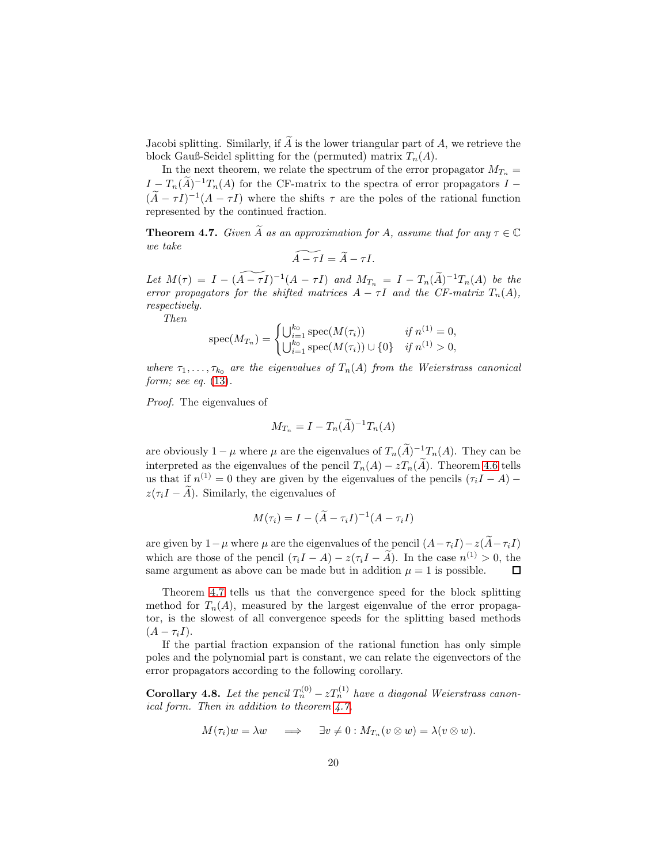Jacobi splitting. Similarly, if  $\widetilde{A}$  is the lower triangular part of A, we retrieve the block Gauß-Seidel splitting for the (permuted) matrix  $T_n(A)$ .

In the next theorem, we relate the spectrum of the error propagator  $M_{T_n}$  =  $I = T_n(\tilde{A})^{-1}T_n(A)$  for the CF-matrix to the spectra of error propagators  $I (\tilde{A} - \tau I)^{-1}(A - \tau I)$  where the shifts  $\tau$  are the poles of the rational function represented by the continued fraction.

<span id="page-19-0"></span>**Theorem 4.7.** *Given*  $\tilde{A}$  *as an approximation for*  $A$ *, assume that for any*  $\tau \in \mathbb{C}$ *we take*

$$
\widetilde{A-\tau I}=\widetilde{A}-\tau I.
$$

*Let*  $M(\tau) = I - (\widetilde{A - \tau I})^{-1}(A - \tau I)$  *and*  $M_{T_n} = I - T_n(\widetilde{A})^{-1}T_n(A)$  *be the error propagators for the shifted matrices*  $A - \tau I$  *and the CF-matrix*  $T_n(A)$ *, respectively.*

*Then*

$$
\operatorname{spec}(M_{T_n}) = \begin{cases} \bigcup_{i=1}^{k_0} \operatorname{spec}(M(\tau_i)) & \text{if } n^{(1)} = 0, \\ \bigcup_{i=1}^{k_0} \operatorname{spec}(M(\tau_i)) \cup \{0\} & \text{if } n^{(1)} > 0, \end{cases}
$$

*where*  $\tau_1, \ldots, \tau_{k_0}$  *are the eigenvalues of*  $T_n(A)$  *from the Weierstrass canonical form; see eq.* [\(13\)](#page-13-0)*.*

*Proof.* The eigenvalues of

$$
M_{T_n} = I - T_n(\widetilde{A})^{-1} T_n(A)
$$

are obviously  $1 - \mu$  where  $\mu$  are the eigenvalues of  $T_n(A)^{-1}T_n(A)$ . They can be interpreted as the eigenvalues of the pencil  $T_n(A) - zT_n(\tilde{A})$ . Theorem [4.6](#page-16-1) tells us that if  $n^{(1)} = 0$  they are given by the eigenvalues of the pencils  $(\tau_i I - A)$  –  $z(\tau_iI - \tilde{A})$ . Similarly, the eigenvalues of

$$
M(\tau_i) = I - (\widetilde{A} - \tau_i I)^{-1} (A - \tau_i I)
$$

are given by  $1-\mu$  where  $\mu$  are the eigenvalues of the pencil  $(A-\tau_iI)-z(\widetilde{A}-\tau_iI)$ which are those of the pencil  $(\tau_i I - A) - z(\tau_i I - \tilde{A})$ . In the case  $n^{(1)} > 0$ , the same argument as above can be made but in addition  $\mu = 1$  is possible.  $\Box$ 

Theorem [4.7](#page-19-0) tells us that the convergence speed for the block splitting method for  $T_n(A)$ , measured by the largest eigenvalue of the error propagator, is the slowest of all convergence speeds for the splitting based methods  $(A - \tau_i I).$ 

If the partial fraction expansion of the rational function has only simple poles and the polynomial part is constant, we can relate the eigenvectors of the error propagators according to the following corollary.

**Corollary 4.8.** Let the pencil  $T_n^{(0)} - zT_n^{(1)}$  have a diagonal Weierstrass canon*ical form. Then in addition to theorem [4.7,](#page-19-0)*

$$
M(\tau_i)w = \lambda w \quad \implies \quad \exists v \neq 0 : M_{T_n}(v \otimes w) = \lambda(v \otimes w).
$$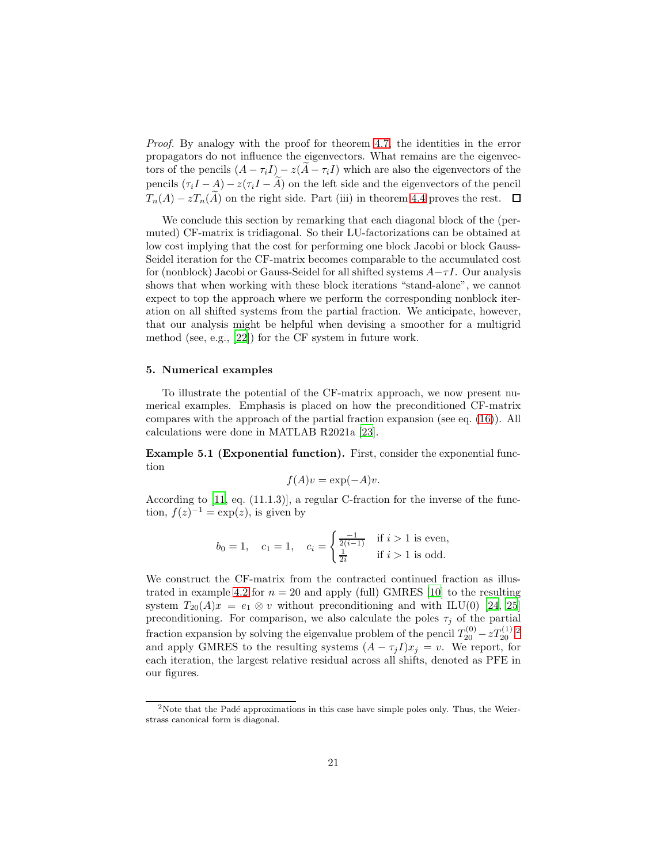*Proof.* By analogy with the proof for theorem [4.7,](#page-19-0) the identities in the error propagators do not influence the eigenvectors. What remains are the eigenvectors of the pencils  $(A - \tau_i I) - z(A - \tau_i I)$  which are also the eigenvectors of the pencils  $(\tau_i I - A) - z(\tau_i I - \tilde{A})$  on the left side and the eigenvectors of the pencil  $T_n(A) - zT_n(\widetilde{A})$  on the right side. Part (iii) in theorem [4.4](#page-15-1) proves the rest.  $\Box$ 

We conclude this section by remarking that each diagonal block of the (permuted) CF-matrix is tridiagonal. So their LU-factorizations can be obtained at low cost implying that the cost for performing one block Jacobi or block Gauss-Seidel iteration for the CF-matrix becomes comparable to the accumulated cost for (nonblock) Jacobi or Gauss-Seidel for all shifted systems  $A-\tau I$ . Our analysis shows that when working with these block iterations "stand-alone", we cannot expect to top the approach where we perform the corresponding nonblock iteration on all shifted systems from the partial fraction. We anticipate, however, that our analysis might be helpful when devising a smoother for a multigrid method (see, e.g., [\[22\]](#page-25-10)) for the CF system in future work.

# <span id="page-20-0"></span>5. Numerical examples

To illustrate the potential of the CF-matrix approach, we now present numerical examples. Emphasis is placed on how the preconditioned CF-matrix compares with the approach of the partial fraction expansion (see eq. [\(16\)](#page-15-2)). All calculations were done in MATLAB R2021a [\[23\]](#page-25-11).

Example 5.1 (Exponential function). First, consider the exponential function

$$
f(A)v = \exp(-A)v.
$$

According to [\[11,](#page-24-10) eq. (11.1.3)], a regular C-fraction for the inverse of the function,  $f(z)^{-1} = \exp(z)$ , is given by

$$
b_0 = 1
$$
,  $c_1 = 1$ ,  $c_i = \begin{cases} \frac{-1}{2(i-1)} & \text{if } i > 1 \text{ is even,} \\ \frac{1}{2i} & \text{if } i > 1 \text{ is odd.} \end{cases}$ 

We construct the CF-matrix from the contracted continued fraction as illus-trated in example [4.2](#page-11-0) for  $n = 20$  and apply (full) GMRES [\[10](#page-24-9)] to the resulting system  $T_{20}(A)x = e_1 \otimes v$  without preconditioning and with ILU(0) [\[24](#page-25-12), [25\]](#page-25-13) preconditioning. For comparison, we also calculate the poles  $\tau_j$  of the partial fraction expansion by solving the eigenvalue problem of the pencil  $T_{20}^{(0)} - zT_{20}^{(1)}$  $T_{20}^{(0)} - zT_{20}^{(1)}$  $T_{20}^{(0)} - zT_{20}^{(1)}$ . and apply GMRES to the resulting systems  $(A - \tau_j I)x_j = v$ . We report, for each iteration, the largest relative residual across all shifts, denoted as PFE in our figures.

<span id="page-20-1"></span><sup>&</sup>lt;sup>2</sup>Note that the Padé approximations in this case have simple poles only. Thus, the Weierstrass canonical form is diagonal.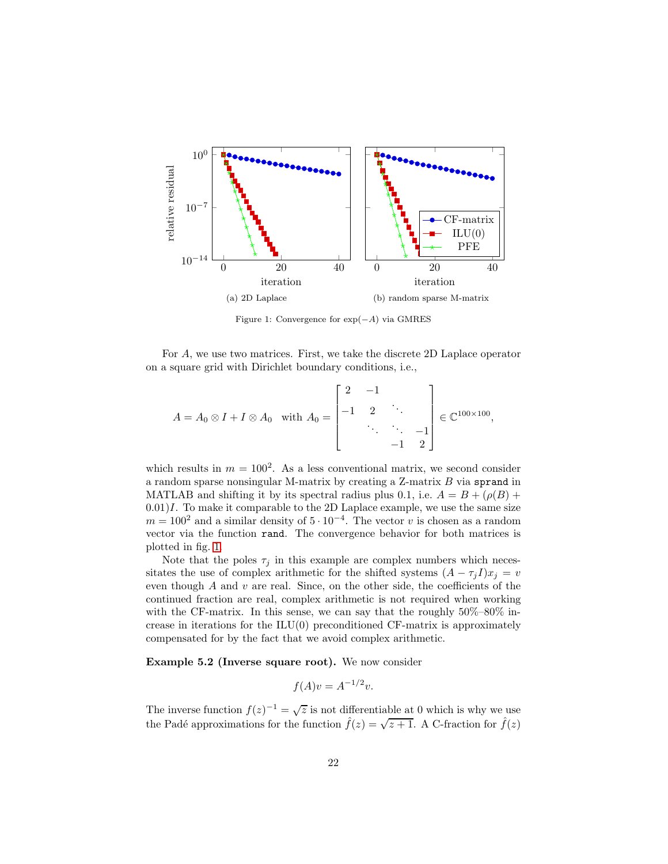<span id="page-21-0"></span>

Figure 1: Convergence for exp(−A) via GMRES

For A, we use two matrices. First, we take the discrete 2D Laplace operator on a square grid with Dirichlet boundary conditions, i.e.,

$$
A = A_0 \otimes I + I \otimes A_0 \text{ with } A_0 = \begin{bmatrix} 2 & -1 & & \\ -1 & 2 & \ddots & \\ & \ddots & \ddots & -1 \\ & & -1 & 2 \end{bmatrix} \in \mathbb{C}^{100 \times 100},
$$

which results in  $m = 100^2$ . As a less conventional matrix, we second consider a random sparse nonsingular M-matrix by creating a Z-matrix B via sprand in MATLAB and shifting it by its spectral radius plus 0.1, i.e.  $A = B + (\rho(B)) +$  $(0.01)I$ . To make it comparable to the 2D Laplace example, we use the same size  $m = 100^2$  and a similar density of  $5 \cdot 10^{-4}$ . The vector v is chosen as a random vector via the function rand. The convergence behavior for both matrices is plotted in fig. [1.](#page-21-0)

Note that the poles  $\tau_j$  in this example are complex numbers which necessitates the use of complex arithmetic for the shifted systems  $(A - \tau_j I)x_j = v$ even though  $A$  and  $v$  are real. Since, on the other side, the coefficients of the continued fraction are real, complex arithmetic is not required when working with the CF-matrix. In this sense, we can say that the roughly  $50\% - 80\%$  increase in iterations for the  $ILU(0)$  preconditioned CF-matrix is approximately compensated for by the fact that we avoid complex arithmetic.

Example 5.2 (Inverse square root). We now consider

$$
f(A)v = A^{-1/2}v.
$$

The inverse function  $f(z)^{-1} = \sqrt{z}$  is not differentiable at 0 which is why we use the Padé approximations for the function  $\hat{f}(z) = \sqrt{z+1}$ . A C-fraction for  $\hat{f}(z)$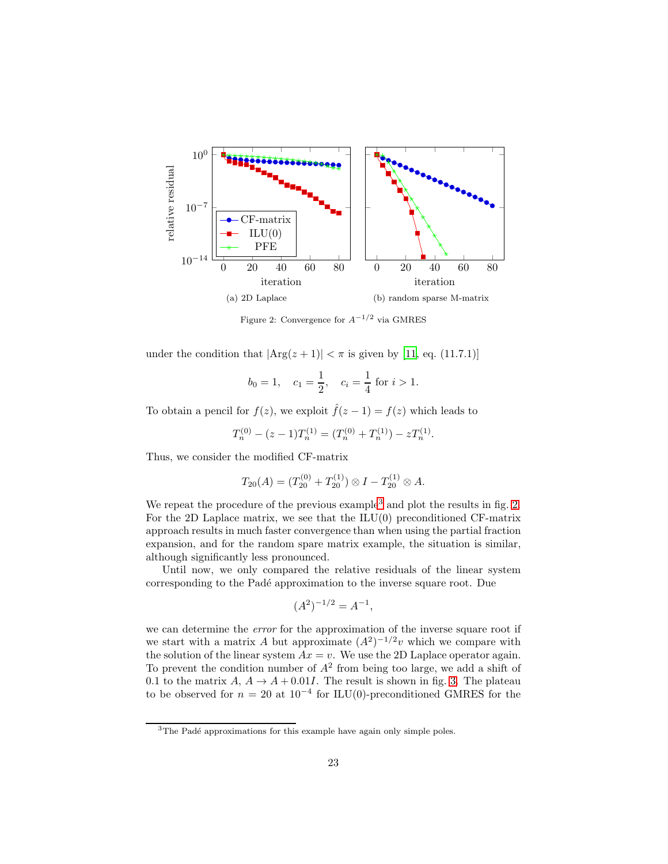<span id="page-22-1"></span>

Figure 2: Convergence for  $A^{-1/2}$  via GMRES

under the condition that  $|\text{Arg}(z + 1)| < \pi$  is given by [\[11,](#page-24-10) eq. (11.7.1)]

$$
b_0 = 1
$$
,  $c_1 = \frac{1}{2}$ ,  $c_i = \frac{1}{4}$  for  $i > 1$ .

To obtain a pencil for  $f(z)$ , we exploit  $\hat{f}(z-1) = f(z)$  which leads to

$$
T_n^{(0)} - (z-1)T_n^{(1)} = (T_n^{(0)} + T_n^{(1)}) - zT_n^{(1)}.
$$

Thus, we consider the modified CF-matrix

$$
T_{20}(A) = (T_{20}^{(0)} + T_{20}^{(1)}) \otimes I - T_{20}^{(1)} \otimes A.
$$

We repeat the procedure of the previous example<sup>[3](#page-22-0)</sup> and plot the results in fig. [2.](#page-22-1) For the 2D Laplace matrix, we see that the  $ILU(0)$  preconditioned CF-matrix approach results in much faster convergence than when using the partial fraction expansion, and for the random spare matrix example, the situation is similar, although significantly less pronounced.

Until now, we only compared the relative residuals of the linear system corresponding to the Padé approximation to the inverse square root. Due

$$
(A^2)^{-1/2} = A^{-1},
$$

we can determine the *error* for the approximation of the inverse square root if we start with a matrix A but approximate  $(A^2)^{-1/2}v$  which we compare with the solution of the linear system  $Ax = v$ . We use the 2D Laplace operator again. To prevent the condition number of  $A<sup>2</sup>$  from being too large, we add a shift of 0.1 to the matrix  $A, A \rightarrow A + 0.01I$ . The result is shown in fig. [3.](#page-23-0) The plateau to be observed for  $n = 20$  at  $10^{-4}$  for ILU(0)-preconditioned GMRES for the

<span id="page-22-0"></span><sup>&</sup>lt;sup>3</sup>The Padé approximations for this example have again only simple poles.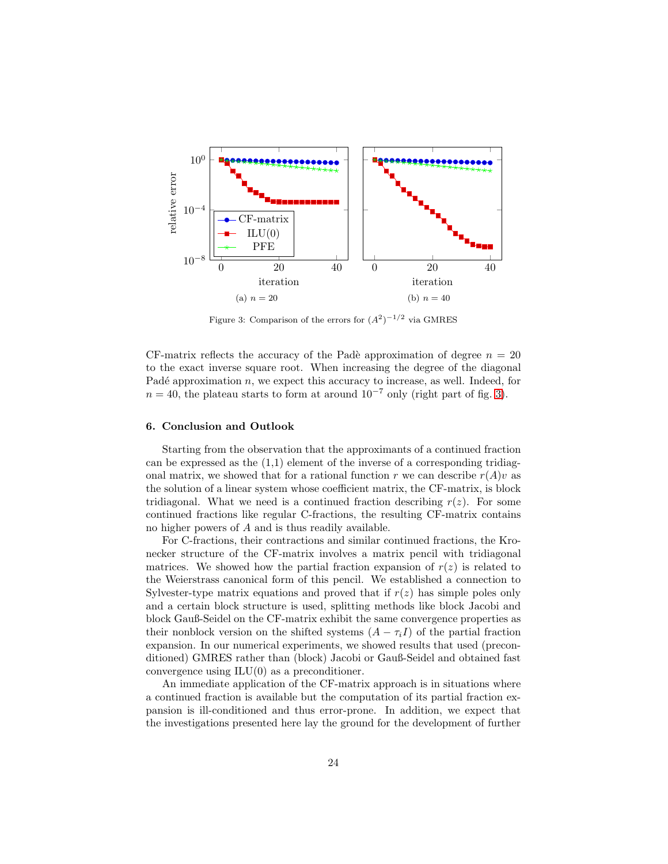<span id="page-23-0"></span>

Figure 3: Comparison of the errors for  $(A^2)^{-1/2}$  via GMRES

CF-matrix reflects the accuracy of the Padè approximation of degree  $n = 20$ to the exact inverse square root. When increasing the degree of the diagonal Padé approximation  $n$ , we expect this accuracy to increase, as well. Indeed, for  $n = 40$ , the plateau starts to form at around  $10^{-7}$  only (right part of fig. [3\)](#page-23-0).

### 6. Conclusion and Outlook

Starting from the observation that the approximants of a continued fraction can be expressed as the  $(1,1)$  element of the inverse of a corresponding tridiagonal matrix, we showed that for a rational function r we can describe  $r(A)v$  as the solution of a linear system whose coefficient matrix, the CF-matrix, is block tridiagonal. What we need is a continued fraction describing  $r(z)$ . For some continued fractions like regular C-fractions, the resulting CF-matrix contains no higher powers of A and is thus readily available.

For C-fractions, their contractions and similar continued fractions, the Kronecker structure of the CF-matrix involves a matrix pencil with tridiagonal matrices. We showed how the partial fraction expansion of  $r(z)$  is related to the Weierstrass canonical form of this pencil. We established a connection to Sylvester-type matrix equations and proved that if  $r(z)$  has simple poles only and a certain block structure is used, splitting methods like block Jacobi and block Gauß-Seidel on the CF-matrix exhibit the same convergence properties as their nonblock version on the shifted systems  $(A - \tau_i I)$  of the partial fraction expansion. In our numerical experiments, we showed results that used (preconditioned) GMRES rather than (block) Jacobi or Gauß-Seidel and obtained fast convergence using ILU(0) as a preconditioner.

An immediate application of the CF-matrix approach is in situations where a continued fraction is available but the computation of its partial fraction expansion is ill-conditioned and thus error-prone. In addition, we expect that the investigations presented here lay the ground for the development of further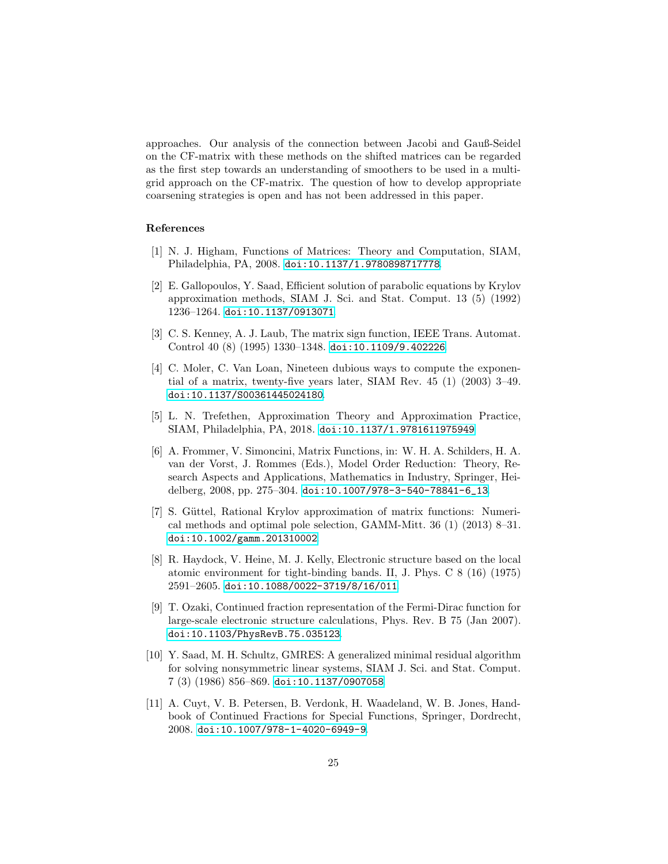approaches. Our analysis of the connection between Jacobi and Gauß-Seidel on the CF-matrix with these methods on the shifted matrices can be regarded as the first step towards an understanding of smoothers to be used in a multigrid approach on the CF-matrix. The question of how to develop appropriate coarsening strategies is open and has not been addressed in this paper.

# References

- <span id="page-24-0"></span>[1] N. J. Higham, Functions of Matrices: Theory and Computation, SIAM, Philadelphia, PA, 2008. [doi:10.1137/1.9780898717778](https://doi.org/10.1137/1.9780898717778).
- <span id="page-24-1"></span>[2] E. Gallopoulos, Y. Saad, Efficient solution of parabolic equations by Krylov approximation methods, SIAM J. Sci. and Stat. Comput. 13 (5) (1992) 1236–1264. [doi:10.1137/0913071](https://doi.org/10.1137/0913071).
- <span id="page-24-2"></span>[3] C. S. Kenney, A. J. Laub, The matrix sign function, IEEE Trans. Automat. Control 40 (8) (1995) 1330–1348. [doi:10.1109/9.402226](https://doi.org/10.1109/9.402226).
- <span id="page-24-3"></span>[4] C. Moler, C. Van Loan, Nineteen dubious ways to compute the exponential of a matrix, twenty-five years later, SIAM Rev. 45 (1) (2003) 3–49. [doi:10.1137/S00361445024180](https://doi.org/10.1137/S00361445024180).
- <span id="page-24-4"></span>[5] L. N. Trefethen, Approximation Theory and Approximation Practice, SIAM, Philadelphia, PA, 2018. [doi:10.1137/1.9781611975949](https://doi.org/10.1137/1.9781611975949).
- <span id="page-24-5"></span>[6] A. Frommer, V. Simoncini, Matrix Functions, in: W. H. A. Schilders, H. A. van der Vorst, J. Rommes (Eds.), Model Order Reduction: Theory, Research Aspects and Applications, Mathematics in Industry, Springer, Heidelberg, 2008, pp. 275–304. [doi:10.1007/978-3-540-78841-6\\_13](https://doi.org/10.1007/978-3-540-78841-6_13).
- <span id="page-24-6"></span>[7] S. Güttel, Rational Krylov approximation of matrix functions: Numerical methods and optimal pole selection, GAMM-Mitt. 36 (1) (2013) 8–31. [doi:10.1002/gamm.201310002](https://doi.org/10.1002/gamm.201310002).
- <span id="page-24-7"></span>[8] R. Haydock, V. Heine, M. J. Kelly, Electronic structure based on the local atomic environment for tight-binding bands. II, J. Phys. C 8 (16) (1975) 2591–2605. [doi:10.1088/0022-3719/8/16/011](https://doi.org/10.1088/0022-3719/8/16/011).
- <span id="page-24-8"></span>[9] T. Ozaki, Continued fraction representation of the Fermi-Dirac function for large-scale electronic structure calculations, Phys. Rev. B 75 (Jan 2007). [doi:10.1103/PhysRevB.75.035123](https://doi.org/10.1103/PhysRevB.75.035123).
- <span id="page-24-9"></span>[10] Y. Saad, M. H. Schultz, GMRES: A generalized minimal residual algorithm for solving nonsymmetric linear systems, SIAM J. Sci. and Stat. Comput. 7 (3) (1986) 856–869. [doi:10.1137/0907058](https://doi.org/10.1137/0907058).
- <span id="page-24-10"></span>[11] A. Cuyt, V. B. Petersen, B. Verdonk, H. Waadeland, W. B. Jones, Handbook of Continued Fractions for Special Functions, Springer, Dordrecht, 2008. [doi:10.1007/978-1-4020-6949-9](https://doi.org/10.1007/978-1-4020-6949-9).